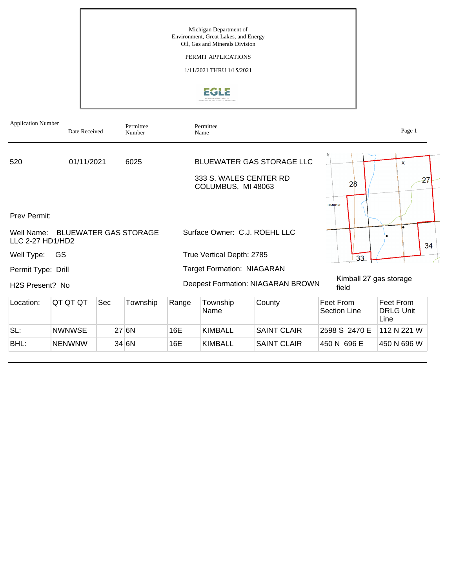Michigan Department of Environment, Great Lakes, and Energy Oil, Gas and Minerals Division

## PERMIT APPLICATIONS

1/11/2021 THRU 1/15/2021



| <b>Application Number</b>    | Date Received                    |     | Permittee<br>Number |       | Permittee<br>Name                            |                                   |                                  | Page 1                                |
|------------------------------|----------------------------------|-----|---------------------|-------|----------------------------------------------|-----------------------------------|----------------------------------|---------------------------------------|
| 520                          | 01/11/2021                       |     | 6025                |       | 333 S. WALES CENTER RD<br>COLUMBUS, MI 48063 | <b>BLUEWATER GAS STORAGE LLC</b>  | 28                               | X<br>$\overline{27}$                  |
| <b>Prev Permit:</b>          |                                  |     |                     |       |                                              |                                   | <b>T06NR16E</b>                  |                                       |
| LLC 2-27 HD1/HD2             | Well Name: BLUEWATER GAS STORAGE |     |                     |       | Surface Owner: C.J. ROEHL LLC                |                                   |                                  | 34                                    |
| Well Type:                   | GS                               |     |                     |       | True Vertical Depth: 2785                    |                                   | 33                               |                                       |
| Permit Type: Drill           |                                  |     |                     |       | <b>Target Formation: NIAGARAN</b>            |                                   |                                  |                                       |
| H <sub>2</sub> S Present? No |                                  |     |                     |       |                                              | Deepest Formation: NIAGARAN BROWN | Kimball 27 gas storage<br>field  |                                       |
| Location:                    | QT QT QT                         | Sec | Township            | Range | Township<br>Name                             | County                            | Feet From<br><b>Section Line</b> | Feet From<br><b>DRLG Unit</b><br>Line |
| SL:                          | <b>NWNWSE</b>                    |     | 27 6N               | 16E   | <b>KIMBALL</b>                               | <b>SAINT CLAIR</b>                | 2598 S 2470 E                    | 112 N 221 W                           |
| BHL:                         | <b>NENWNW</b>                    |     | 34 6N               | 16E   | <b>KIMBALL</b>                               | <b>SAINT CLAIR</b>                | 450 N 696 E                      | 450 N 696 W                           |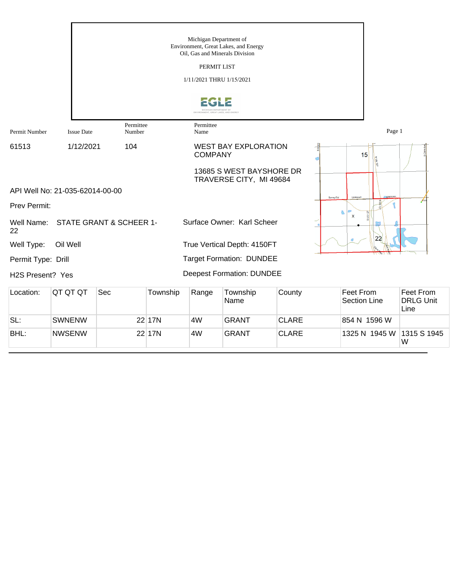|                    |                                 |                         |          | Michigan Department of<br>PERMIT LIST<br>1/11/2021 THRU 1/15/2021 | Environment, Great Lakes, and Energy<br>Oil, Gas and Minerals Division<br>NT, GREAT LAKES, AND ENERG |              |           |                                  |                                       |
|--------------------|---------------------------------|-------------------------|----------|-------------------------------------------------------------------|------------------------------------------------------------------------------------------------------|--------------|-----------|----------------------------------|---------------------------------------|
| Permit Number      | <b>Issue Date</b>               | Permittee<br>Number     |          | Permittee<br>Name                                                 |                                                                                                      |              |           | Page 1                           |                                       |
| 61513              | 1/12/2021                       | 104                     |          | <b>COMPANY</b>                                                    | <b>WEST BAY EXPLORATION</b>                                                                          |              | $\subset$ | 15<br>$N$ US 127                 |                                       |
|                    |                                 |                         |          |                                                                   | 13685 S WEST BAYSHORE DR<br>TRAVERSE CITY, MI 49684                                                  |              |           |                                  |                                       |
|                    | API Well No: 21-035-62014-00-00 |                         |          |                                                                   |                                                                                                      |              | Surrey Rd |                                  |                                       |
| Prev Permit:       |                                 |                         |          |                                                                   |                                                                                                      |              |           | $\boldsymbol{\mathsf{x}}$        |                                       |
| Well Name:<br>22   |                                 | STATE GRANT & SCHEER 1- |          |                                                                   | Surface Owner: Karl Scheer                                                                           |              |           | 22                               |                                       |
| Well Type:         | Oil Well                        |                         |          |                                                                   | True Vertical Depth: 4150FT                                                                          |              |           |                                  |                                       |
| Permit Type: Drill |                                 |                         |          |                                                                   | <b>Target Formation: DUNDEE</b>                                                                      |              |           |                                  |                                       |
| H2S Present? Yes   |                                 |                         |          |                                                                   | <b>Deepest Formation: DUNDEE</b>                                                                     |              |           |                                  |                                       |
| Location:          | QT QT QT                        | Sec                     | Township | Range                                                             | Township<br>Name                                                                                     | County       |           | Feet From<br><b>Section Line</b> | Feet From<br><b>DRLG Unit</b><br>Line |
| SL:                | <b>SWNENW</b>                   |                         | 22 17N   | 4W                                                                | <b>GRANT</b>                                                                                         | <b>CLARE</b> |           | 854 N 1596 W                     |                                       |
| BHL:               | <b>NWSENW</b>                   |                         | 22 17N   | 4W                                                                | <b>GRANT</b>                                                                                         | <b>CLARE</b> |           | 1325 N 1945 W                    | 1315 S 1945                           |

 $M$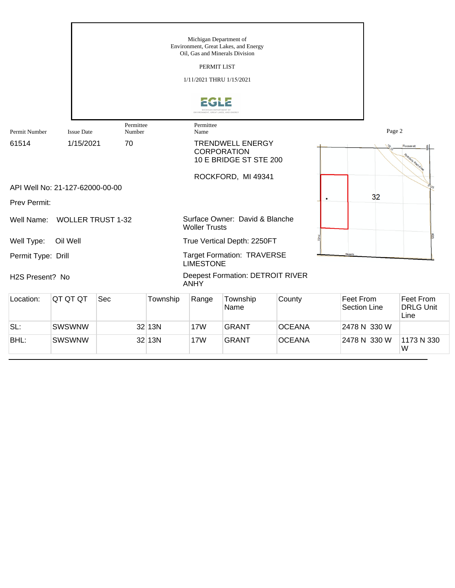|                              |                                 |                     |          | Michigan Department of                                             | Environment, Great Lakes, and Energy<br>Oil, Gas and Minerals Division  |               |               |                                  |                                       |
|------------------------------|---------------------------------|---------------------|----------|--------------------------------------------------------------------|-------------------------------------------------------------------------|---------------|---------------|----------------------------------|---------------------------------------|
|                              |                                 |                     |          | PERMIT LIST                                                        |                                                                         |               |               |                                  |                                       |
|                              |                                 |                     |          | 1/11/2021 THRU 1/15/2021                                           |                                                                         |               |               |                                  |                                       |
|                              |                                 |                     |          | <b><i>UGAN DEPARTMENT O</i></b><br>RONMENT, GREAT LAKES, AND ENERO |                                                                         |               |               |                                  |                                       |
| Permit Number                | <b>Issue Date</b>               | Permittee<br>Number |          | Permittee<br>Name                                                  |                                                                         |               |               | Page 2                           |                                       |
| 61514                        | 1/15/2021                       | 70                  |          |                                                                    | <b>TRENDWELL ENERGY</b><br><b>CORPORATION</b><br>10 E BRIDGE ST STE 200 |               |               | $\frac{6}{5}$                    | Roosevelt<br>othbory Rigi An          |
|                              |                                 |                     |          |                                                                    | ROCKFORD, MI 49341                                                      |               |               |                                  |                                       |
|                              | API Well No: 21-127-62000-00-00 |                     |          |                                                                    |                                                                         |               |               |                                  | $U_{\rm S}$                           |
| Prev Permit:                 |                                 |                     |          |                                                                    |                                                                         |               | ٠             | 32                               |                                       |
| Well Name:                   | <b>WOLLER TRUST 1-32</b>        |                     |          | <b>Woller Trusts</b>                                               | Surface Owner: David & Blanche                                          |               |               |                                  |                                       |
| Well Type:                   | Oil Well                        |                     |          |                                                                    | True Vertical Depth: 2250FT                                             |               |               |                                  |                                       |
| Permit Type: Drill           |                                 |                     |          | <b>LIMESTONE</b>                                                   | <b>Target Formation: TRAVERSE</b>                                       |               | <b>Skeels</b> |                                  |                                       |
| H <sub>2</sub> S Present? No |                                 |                     |          | <b>ANHY</b>                                                        | <b>Deepest Formation: DETROIT RIVER</b>                                 |               |               |                                  |                                       |
| Location:                    | QT QT QT                        | Sec                 | Township | Range                                                              | Township<br>Name                                                        | County        |               | Feet From<br><b>Section Line</b> | Feet From<br><b>DRLG Unit</b><br>Line |
| SL:                          | SWSWNW                          |                     | 32 13N   | <b>17W</b>                                                         | <b>GRANT</b>                                                            | <b>OCEANA</b> |               | 2478 N 330 W                     |                                       |

BHL: SWSWNW 32 13N 17W GRANT OCEANA 2478 N 330 W

1173 N 330<br>W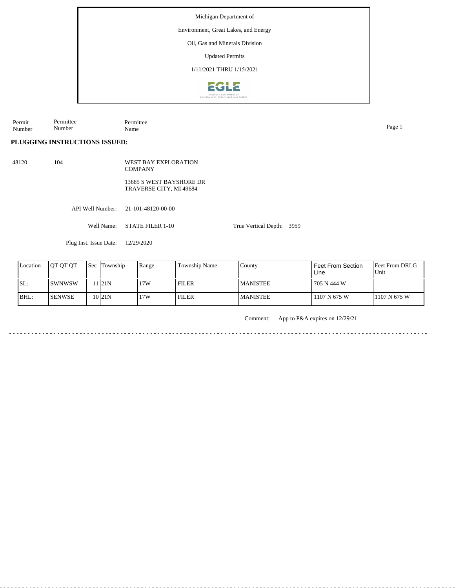Environment, Great Lakes, and Energy

Oil, Gas and Minerals Division

Updated Permits

1/11/2021 THRU 1/15/2021



Permit Number Permittee Number Permittee Name Page 1

## **PLUGGING INSTRUCTIONS ISSUED:**

API Well Number: 21-101-48120-00-00 48120 104 WEST BAY EXPLORATION COMPANY 13685 S WEST BAYSHORE DR TRAVERSE CITY, MI 49684

Well Name: STATE FILER 1-10

Plug Inst. Issue Date: 12/29/2020

| Location | <b>IOT OT OT</b> | <b>Sec Township</b> | Range | Township Name | County           | Feet From Section<br>Line | <b>Feet From DRLG</b><br>Unit |
|----------|------------------|---------------------|-------|---------------|------------------|---------------------------|-------------------------------|
| SL:      | ISWNWSW          | 1121N               | 17W   | FILER         | <b>IMANISTEE</b> | 705 N 444 W               |                               |
| BHL:     | <b>ISENWSE</b>   | 10 <sub>21N</sub>   | 17W   | <b>FILER</b>  | <b>MANISTEE</b>  | 1107 N 675 W              | 1107 N 675 W                  |

Comment: App to P&A expires on 12/29/21

True Vertical Depth: 3959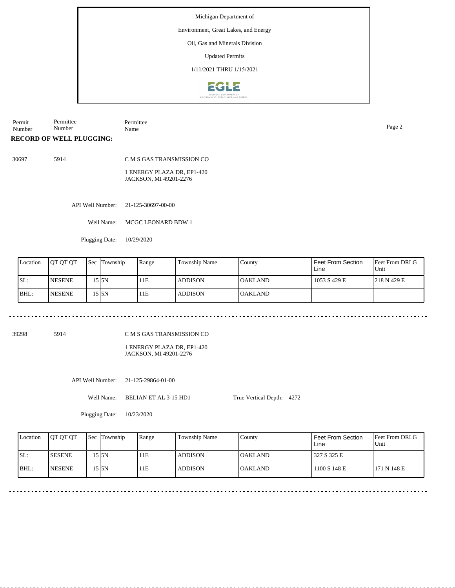## Environment, Great Lakes, and Energy

Oil, Gas and Minerals Division

Updated Permits

1/11/2021 THRU 1/15/2021



Permit Number Permittee Number Permittee Name Page 2

#### **RECORD OF WELL PLUGGING:**

30697 5914

C M S GAS TRANSMISSION CO

1 ENERGY PLAZA DR, EP1-420 JACKSON, MI 49201-2276

API Well Number: 21-125-30697-00-00

Well Name: MCGC LEONARD BDW 1

Plugging Date: 10/29/2020

| Location | <b>IOT OT OT</b> | <b>Sec</b> | Township | Range | Township Name  | County          | l Feet From Section<br>Line | Feet From DRLG<br>Unit |
|----------|------------------|------------|----------|-------|----------------|-----------------|-----------------------------|------------------------|
| SL:      | <b>INESENE</b>   |            | 15 I5N   | 11E   | <b>ADDISON</b> | <b>JOAKLAND</b> | 1053 S 429 E                | 1218 N 429 E           |
| BHL:     | <b>INESENE</b>   |            | 15 I5N   | 11E   | <b>ADDISON</b> | <b>OAKLAND</b>  |                             |                        |

39298 5914

C M S GAS TRANSMISSION CO

1 ENERGY PLAZA DR, EP1-420 JACKSON, MI 49201-2276

API Well Number: 21-125-29864-01-00

Well Name: BELIAN ET AL 3-15 HD1

True Vertical Depth: 4272

Plugging Date: 10/23/2020

| Location | <b>OT OT OT</b> | <b>Sec Township</b> | Range | Township Name  | Countv          | Feet From Section<br>Line | <b>Feet From DRLG</b><br>Unit |
|----------|-----------------|---------------------|-------|----------------|-----------------|---------------------------|-------------------------------|
| ISL:     | <b>ISESENE</b>  | 5 I5N               | 11E   | ADDISON        | <b>IOAKLAND</b> | 327 S 325 E               |                               |
| BHL:     | <b>NESENE</b>   | 5 I5N               | 11E   | <b>ADDISON</b> | <b>OAKLAND</b>  | 1100 S 148 E              | 171 N 148 E                   |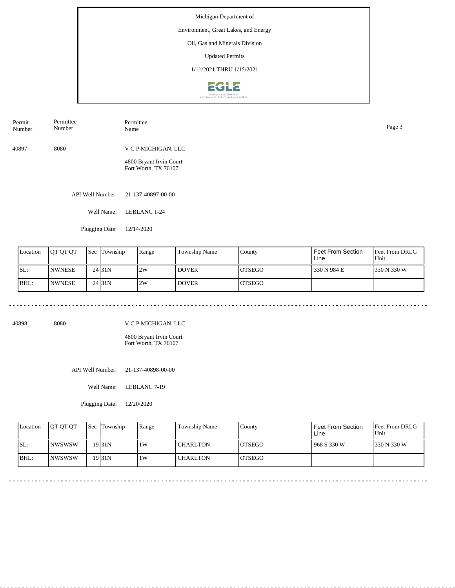## Environment, Great Lakes, and Energy

Oil, Gas and Minerals Division

Updated Permits

1/11/2021 THRU 1/15/2021



| Permit<br>Number | Permittee<br>Number | Permittee<br>Name                               | Page 3 |
|------------------|---------------------|-------------------------------------------------|--------|
| 40897            | 8080                | V C P MICHIGAN, LLC                             |        |
|                  |                     | 4800 Bryant Irvin Court<br>Fort Worth, TX 76107 |        |
|                  |                     |                                                 |        |

API Well Number: 21-137-40897-00-00

Well Name: LEBLANC 1-24

Plugging Date: 12/14/2020

| Location | <b>JOT OT OT</b> | Sec | Township            | Range | <b>Township Name</b> | County         | Feet From Section<br>Line | <b>Feet From DRLG</b><br>Unit |
|----------|------------------|-----|---------------------|-------|----------------------|----------------|---------------------------|-------------------------------|
| SL:      | <b>INWNESE</b>   |     | 24 <sub>131</sub> N | 2W    | I DOVER-             | IOTSEGO        | 330 N 984 E               | 1330 N 330 W                  |
| BHL:     | <b>INWNESE</b>   |     | 24 <sub>131</sub> N | 2W    | l dover              | <b>IOTSEGO</b> |                           |                               |

40898 8080

V C P MICHIGAN, LLC

4800 Bryant Irvin Court Fort Worth, TX 76107

API Well Number: 21-137-40898-00-00

Well Name: LEBLANC 7-19

Plugging Date: 12/20/2020

| Location | <b>IOT OT OT</b> | <b>Sec</b> Township | Range | Township Name   | County         | Feet From Section<br>Line | <b>Feet From DRLG</b><br>Unit |
|----------|------------------|---------------------|-------|-----------------|----------------|---------------------------|-------------------------------|
| SL:      | INWSWSW          | $19$ <sub>31N</sub> | 1 W   | <b>CHARLTON</b> | <b>IOTSEGO</b> | 968 S 330 W               | 330 N 330 W                   |
| $ BHL$ : | <b>INWSWSW</b>   | $19$ <sub>31N</sub> | 1 W   | <b>CHARLTON</b> | <b>IOTSEGO</b> |                           |                               |

 $-$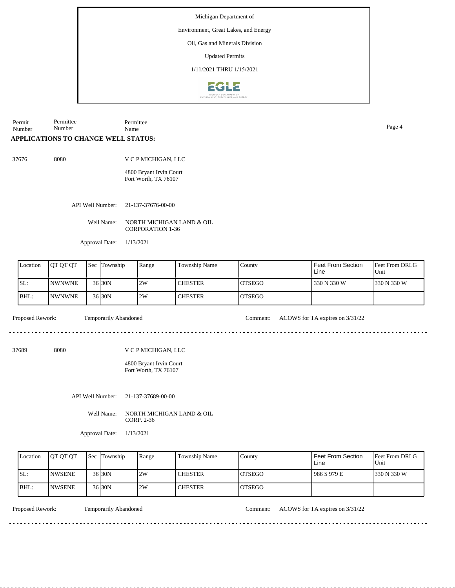Environment, Great Lakes, and Energy

Oil, Gas and Minerals Division

Updated Permits

1/11/2021 THRU 1/15/2021



Permit Number Permittee Number Permittee Name Page 4

## **APPLICATIONS TO CHANGE WELL STATUS:**

37676 8080

V C P MICHIGAN, LLC

4800 Bryant Irvin Court Fort Worth, TX 76107

API Well Number: 21-137-37676-00-00

Well Name: NORTH MICHIGAN LAND & OIL CORPORATION 1-36

Approval Date: 1/13/2021

| Location | <b>IOT OT OT</b> | 'Sec | Township | Range | Township Name  | County         | Feet From Section<br>Line | <b>Feet From DRLG</b><br>'Unit |
|----------|------------------|------|----------|-------|----------------|----------------|---------------------------|--------------------------------|
| ISL:     | <b>INWNWNE</b>   |      | $36$ 30N | 2W    | <b>CHESTER</b> | IOTSEGO        | 330 N 330 W               | 1330 N 330 W                   |
| BHL:     | <b>INWNWNE</b>   |      | $36$ 30N | 2W    | <b>CHESTER</b> | <b>IOTSEGO</b> |                           |                                |

Proposed Rework: Temporarily Abandoned Comment: ACOWS for TA expires on  $3/31/22$ 

37689 8080

V C P MICHIGAN, LLC

4800 Bryant Irvin Court Fort Worth, TX 76107

API Well Number: 21-137-37689-00-00

Well Name: NORTH MICHIGAN LAND & OIL CORP. 2-36

Approval Date: 1/13/2021

| Location | <b>OT OT OT</b> | <b>Sec</b> Township | Range | Township Name  | County         | Feet From Section<br>Line | <b>Feet From DRLG</b><br>Unit |
|----------|-----------------|---------------------|-------|----------------|----------------|---------------------------|-------------------------------|
| ISL:     | <b>INWSENE</b>  | $36$ 30N            | 2W    | <b>CHESTER</b> | IOTSEGO        | 986 S 979 E               | 330 N 330 W                   |
| BHL:     | <b>INWSENE</b>  | 36 30N              | 2W    | <b>CHESTER</b> | <b>IOTSEGO</b> |                           |                               |

Proposed Rework: Temporarily Abandoned Comment: ACOWS for TA expires on 3/31/22

<u>. . . . . . . . . . . . . . .</u>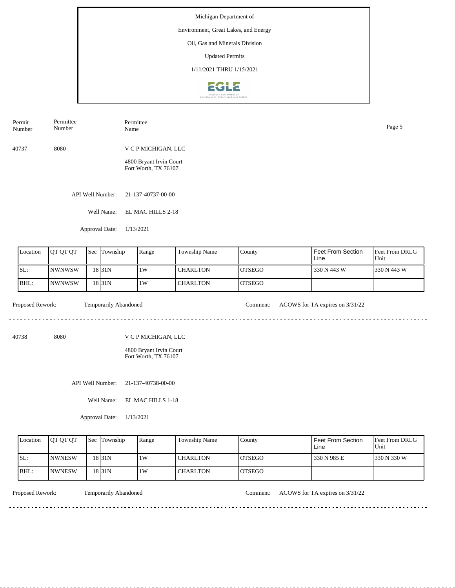## Environment, Great Lakes, and Energy

Oil, Gas and Minerals Division

Updated Permits

1/11/2021 THRU 1/15/2021



| Permit<br>Number | Permittee<br>Number | Permittee<br>Name       | Page 5 |
|------------------|---------------------|-------------------------|--------|
| 40737            | 8080                | V C P MICHIGAN, LLC     |        |
|                  |                     | 4800 Bryant Irvin Court |        |

API Well Number: 21-137-40737-00-00

Well Name: EL MAC HILLS 2-18

Fort Worth, TX 76107

Approval Date: 1/13/2021

| Location | <b>IOT OT OT</b> | <b>Sec</b> | Township | Range | Township Name   | County         | Feet From Section<br>Line | <b>Feet From DRLG</b><br>Unit |
|----------|------------------|------------|----------|-------|-----------------|----------------|---------------------------|-------------------------------|
| SL:      | <b>NWNWSW</b>    |            | 18 31 N  | 1W    | I CHARLTON      | <b>IOTSEGO</b> | 330 N 443 W               | 1330 N 443 W                  |
| BHL:     | <b>NWNWSW</b>    |            | 18 31 N  | 1W    | <b>CHARLTON</b> | <b>IOTSEGO</b> |                           |                               |

dia a a a a

Proposed Rework: Temporarily Abandoned Comment: ACOWS for TA expires on  $3/31/22$ 

. . . . . . . . . . . . . . . . . . .

<u>. . . . . . . . . . . . . . . . .</u>

40738 8080

V C P MICHIGAN, LLC

4800 Bryant Irvin Court Fort Worth, TX 76107

API Well Number: 21-137-40738-00-00

Well Name: EL MAC HILLS 1-18

Approval Date: 1/13/2021

| Location | <b>IOT OT OT</b> | <b>Sec Township</b> | Range | Township Name   | County         | Feet From Section<br>Line | <b>Feet From DRLG</b><br>Unit |
|----------|------------------|---------------------|-------|-----------------|----------------|---------------------------|-------------------------------|
| ISL:     | <b>INWNESW</b>   | 18 31 N             | 1 W   | <b>CHARLTON</b> | <b>LOTSEGO</b> | 330 N 985 E               | 1330 N 330 W                  |
| IBHL:    | <b>INWNESW</b>   | 18 31 N             | 1 W   | <b>CHARLTON</b> | <b>IOTSEGO</b> |                           |                               |

<u>. . . . . . . .</u>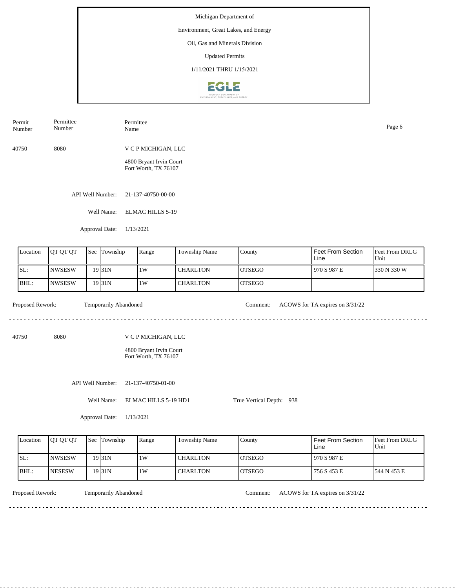# Environment, Great Lakes, and Energy

Oil, Gas and Minerals Division

Updated Permits

1/11/2021 THRU 1/15/2021



40750 8080 V C P MICHIGAN, LLC 4800 Bryant Irvin Court Permit Number Permittee Number Permittee Name Page 6

API Well Number: 21-137-40750-00-00

Well Name: ELMAC HILLS 5-19

Fort Worth, TX 76107

Approval Date: 1/13/2021

| Location | <b>JOT OT OT</b> | Sec Township        | Range | Township Name | County         | l Feet From Section<br>Line | Feet From DRLG<br>Unit |
|----------|------------------|---------------------|-------|---------------|----------------|-----------------------------|------------------------|
| ISL:     | INWSESW          | $19$ <sub>31N</sub> | 11W   | I CHARLTON    | <b>IOTSEGO</b> | 1970 S 987 E                | 1330 N 330 W           |
| BHL:     | INWSESW          | 19 <sub>31</sub> N  | 11W   | I CHARLTON    | <b>IOTSEGO</b> |                             |                        |

Proposed Rework: Temporarily Abandoned Comment: ACOWS for TA expires on  $3/31/22$ 

<u>. . . . . . . . . . . . . . . . .</u>

<u>. . . . . . . . .</u>

40750 8080

V C P MICHIGAN, LLC

4800 Bryant Irvin Court Fort Worth, TX 76107

API Well Number: 21-137-40750-01-00

Well Name: ELMAC HILLS 5-19 HD1

True Vertical Depth: 938

Approval Date: 1/13/2021

| Location | <b>OT OT OT</b> | <b>Sec</b> Township | Range | Township Name | County         | l Feet From Section<br>Line | <b>IFeet From DRLG</b><br>Unit |
|----------|-----------------|---------------------|-------|---------------|----------------|-----------------------------|--------------------------------|
| ISL:     | <b>INWSESW</b>  | 19 31 N             | 1 W   | CHARLTON      | IOTSEGO        | 1970 S 987 E                |                                |
| IBHL:    | <b>INESESW</b>  | 19 31 N             | 1 W   | CHARLTON      | <b>IOTSEGO</b> | 756 S 453 E                 | 1544 N 453 E                   |

<u>. . . . . . . .</u>

Temporarily Abandoned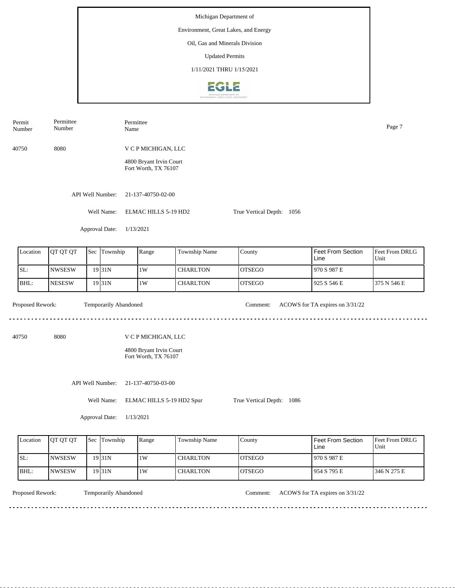Permit Permittee Permittee Number Name Page 7 Number 40750 8080 V C P MICHIGAN, LLC 4800 Bryant Irvin Court Fort Worth, TX 76107 API Well Number: 21-137-40750-02-00 Well Name: ELMAC HILLS 5-19 HD2 True Vertical Depth: 1056 Approval Date: 1/13/2021 Feet From DRLG Feet From Section Location | QT QT QT | Sec | Township | Range | Township Name Sec Township County Unit Line SL: NWSESW 1W CHARLTON OTSEGO 970 S 987 E 19 31N BHL: **NESESW CHARLTON** OTSEGO 925 S 546 E 375 N 546 E 19 31N 1W Proposed Rework: Temporarily Abandoned Comment: ACOWS for TA expires on  $3/31/22$ Temporarily Abandoned <u>. . . . . . .</u> . . . . . . . . . . . . . . . 40750 8080 V C P MICHIGAN, LLC 4800 Bryant Irvin Court Fort Worth, TX 76107 API Well Number: 21-137-40750-03-00 Well Name: ELMAC HILLS 5-19 HD2 Spur True Vertical Depth: 1086 Approval Date: 1/13/2021

| Location | <b>OT OT OT</b> | <b>Sec Township</b> | Range | <b>Township Name</b> | <b>County</b>  | Feet From Section<br>Line | <b>Feet From DRLG</b><br>Unit |
|----------|-----------------|---------------------|-------|----------------------|----------------|---------------------------|-------------------------------|
| ISL:     | <b>NWSESW</b>   | 19 <sub>131</sub> N | 1W    | <b>CHARLTON</b>      | <b>IOTSEGO</b> | 970 S 987 E               |                               |
| IBHL:    | <b>NWSESW</b>   | 19 31 N             | 1W    | <b>CHARLTON</b>      | <b>IOTSEGO</b> | 954 S 795 E               | 346 N 275 E                   |

Temporarily Abandoned

Proposed Rework: Temporarily Abandoned Comment: ACOWS for TA expires on  $3/31/22$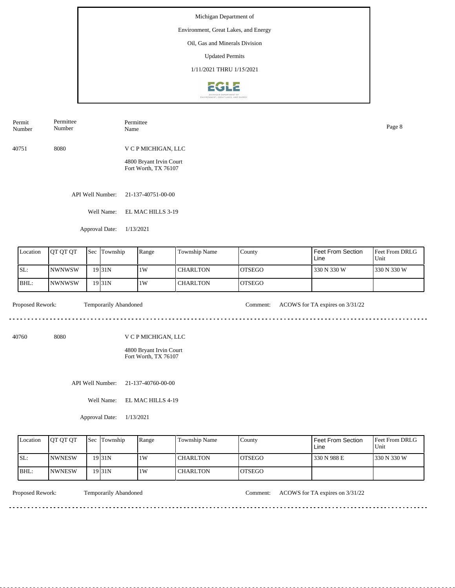## Environment, Great Lakes, and Energy

Oil, Gas and Minerals Division

Updated Permits

1/11/2021 THRU 1/15/2021



40751 8080 V C P MICHIGAN, LLC Permit Number Permittee Number Permittee Name Page 8

> 4800 Bryant Irvin Court Fort Worth, TX 76107

API Well Number: 21-137-40751-00-00

Well Name: EL MAC HILLS 3-19

Approval Date: 1/13/2021

| Location | <b>IOT OT OT</b> | <b>Sec</b> | Township          | Range | <b>Township Name</b> | County         | l Feet From Section<br>Line | Feet From DRLG<br>Unit |
|----------|------------------|------------|-------------------|-------|----------------------|----------------|-----------------------------|------------------------|
| SL:      | INWNWSW          |            | 19 31 N           | 1W    | <b>CHARLTON</b>      | <b>IOTSEGO</b> | 330 N 330 W                 | 330 N 330 W            |
| BHL:     | <b>NWNWSW</b>    |            | 19 <sub>31N</sub> | 1W    | <b>CHARLTON</b>      | <b>LOTSEGO</b> |                             |                        |

 $- - - - - -$ 

Proposed Rework: Temporarily Abandoned Comment: ACOWS for TA expires on  $3/31/22$ 

40760 8080

V C P MICHIGAN, LLC

4800 Bryant Irvin Court Fort Worth, TX 76107

API Well Number: 21-137-40760-00-00

Well Name: EL MAC HILLS 4-19

Approval Date: 1/13/2021

| Location | <b>IOT OT OT</b> | <b>Sec Township</b> | Range | Township Name   | County         | Feet From Section<br>Line | <b>Feet From DRLG</b><br>Unit |
|----------|------------------|---------------------|-------|-----------------|----------------|---------------------------|-------------------------------|
| ISL:     | <b>INWNESW</b>   | $19$ <sub>31N</sub> | 1 W   | <b>CHARLTON</b> | <b>LOTSEGO</b> | 330 N 988 E               | 1330 N 330 W                  |
| IBHL:    | <b>INWNESW</b>   | 19 31 N             | 1 W   | <b>CHARLTON</b> | <b>IOTSEGO</b> |                           |                               |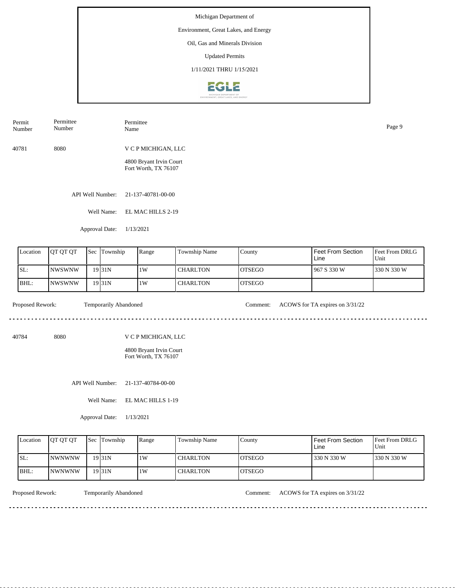## Environment, Great Lakes, and Energy

Oil, Gas and Minerals Division

Updated Permits

1/11/2021 THRU 1/15/2021



40781 8080 V C P MICHIGAN, LLC Permit Number Permittee Number Permittee Name Page 9

> 4800 Bryant Irvin Court Fort Worth, TX 76107

API Well Number: 21-137-40781-00-00

Well Name: EL MAC HILLS 2-19

Approval Date: 1/13/2021

| Location | <b>OT QT QT</b> | 'Sec | Township | Range | <b>Township Name</b> | County         | l Feet From Section<br>Line | Feet From DRLG<br>Unit |
|----------|-----------------|------|----------|-------|----------------------|----------------|-----------------------------|------------------------|
| SL:      | <b>INWSWNW</b>  |      | 19 31 N  | 1W    | I CHARLTON           | <b>IOTSEGO</b> | 1967 S 330 W                | 330 N 330 W            |
| IBHL:    | <b>INWSWNW</b>  |      | 19 31 N  | 1W    | <b>CHARLTON</b>      | <b>IOTSEGO</b> |                             |                        |

 $- - - - - -$ 

Proposed Rework: Temporarily Abandoned Comment: ACOWS for TA expires on  $3/31/22$ 

40784 8080

V C P MICHIGAN, LLC

4800 Bryant Irvin Court Fort Worth, TX 76107

API Well Number: 21-137-40784-00-00

Well Name: EL MAC HILLS 1-19

Approval Date: 1/13/2021

| Location | <b>IOT OT OT</b> | <b>Sec Township</b> | Range | Township Name   | County         | Feet From Section<br>∟ine | <b>Feet From DRLG</b><br>Unit |
|----------|------------------|---------------------|-------|-----------------|----------------|---------------------------|-------------------------------|
| ISL:     | <b>INWNWNW</b>   | $19$ <sub>31N</sub> | 1 W   | <b>CHARLTON</b> | <b>IOTSEGO</b> | 330 N 330 W               | 1330 N 330 W                  |
| BHL:     | <b>INWNWNW</b>   | $19$ <sub>31N</sub> | 1 W   | <b>CHARLTON</b> | <b>IOTSEGO</b> |                           |                               |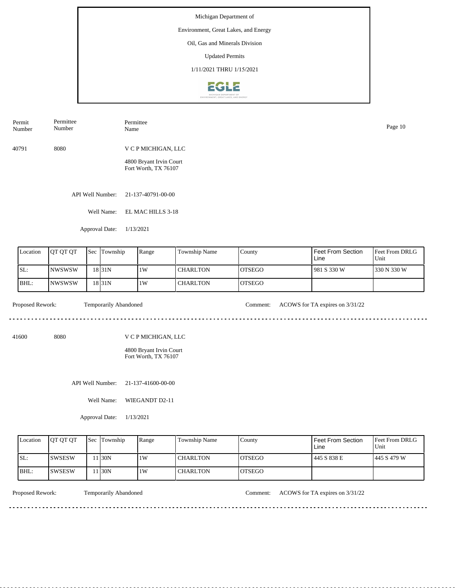#### Environment, Great Lakes, and Energy

Oil, Gas and Minerals Division

Updated Permits

1/11/2021 THRU 1/15/2021



40791 8080 V C P MICHIGAN, LLC Permit Number Permittee Number Permittee Name Page 10

> 4800 Bryant Irvin Court Fort Worth, TX 76107

API Well Number: 21-137-40791-00-00

Well Name: EL MAC HILLS 3-18

Approval Date: 1/13/2021

| Location | <b>IOT OT OT</b> | Sec Township       | Range | Township Name   | County         | l Feet From Section<br>Line | Feet From DRLG<br>Unit |
|----------|------------------|--------------------|-------|-----------------|----------------|-----------------------------|------------------------|
| SL:      | INWSWSW          | 18 <sub>31</sub> N | 1W    | <b>CHARLTON</b> | <b>IOTSEGO</b> | 1981 S 330 W                | 1330 N 330 W           |
| BHL:     | <b>INWSWSW</b>   | 18 <sub>31</sub> N | 1W    | <b>CHARLTON</b> | <b>IOTSEGO</b> |                             |                        |

<u>. . . . . . . . .</u>

Proposed Rework: Temporarily Abandoned Comment: ACOWS for TA expires on  $3/31/22$ 

<u>. . . . . . . . . . . . . . . . .</u>

41600 8080

V C P MICHIGAN, LLC

4800 Bryant Irvin Court Fort Worth, TX 76107

API Well Number: 21-137-41600-00-00

Well Name: WIEGANDT D2-11

Approval Date: 1/13/2021

| Location | <b>IOT OT OT</b> | <b>Sec Township</b> | Range | Township Name   | County         | Feet From Section<br>Line | <b>Feet From DRLG</b><br>Unit |
|----------|------------------|---------------------|-------|-----------------|----------------|---------------------------|-------------------------------|
| ISL:     | <b>ISWSESW</b>   | 1 I30N              | 1 W   | <b>CHARLTON</b> | <b>LOTSEGO</b> | 445 S 838 E               | 1445 S 479 W                  |
| IBHL:    | ISWSESW          | 1 I30N              | 1 W   | <b>CHARLTON</b> | <b>IOTSEGO</b> |                           |                               |

<u>. . . . . . . .</u>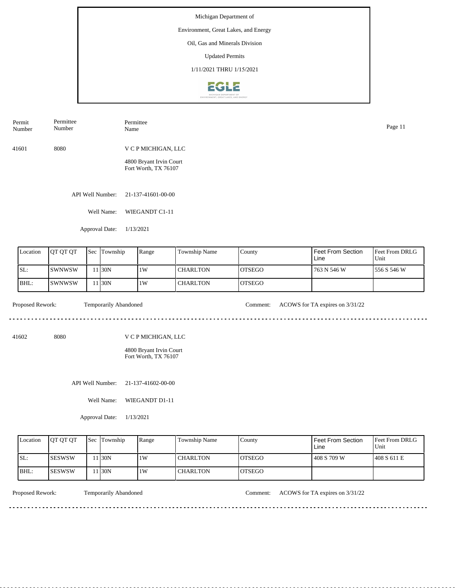

41601 8080 V C P MICHIGAN, LLC 4800 Bryant Irvin Court Fort Worth, TX 76107 Permit Number Permittee Number Permittee Name Page 11

API Well Number: 21-137-41601-00-00

Well Name: WIEGANDT C1-11

Approval Date: 1/13/2021

| Location | <b>IOT OT OT</b> | <b>Sec</b> | Township | Range | <b>Township Name</b> | <b>County</b>  | <b>I Feet From Section</b><br>Line | <b>Feet From DRLG</b><br>Unit |
|----------|------------------|------------|----------|-------|----------------------|----------------|------------------------------------|-------------------------------|
| SL:      | ISWNWSW          |            | 1 30N    | 1W    | <b>CHARLTON</b>      | <b>IOTSEGO</b> | 763 N 546 W                        | 1556 S 546 W                  |
| BHL:     | ISWNWSW          |            | 1 30N    | 1W    | <b>CHARLTON</b>      | <b>IOTSEGO</b> |                                    |                               |

<u>. . . . . . . . . . . . . . . . .</u>

 $- - - - - -$ 

Proposed Rework: Temporarily Abandoned Comment: ACOWS for TA expires on  $3/31/22$ 

41602 8080

V C P MICHIGAN, LLC

4800 Bryant Irvin Court Fort Worth, TX 76107

API Well Number: 21-137-41602-00-00

Well Name: WIEGANDT D1-11

Approval Date: 1/13/2021

| Location | <b>IOT OT OT</b> | <b>Sec Township</b> | Range | Township Name   | County         | Feet From Section<br>∟ine | <b>Feet From DRLG</b><br>Unit |
|----------|------------------|---------------------|-------|-----------------|----------------|---------------------------|-------------------------------|
| ISL:     | <b>ISESWSW</b>   | 1130N               | 1W    | <b>CHARLTON</b> | <b>IOTSEGO</b> | 408 S 709 W               | 408 S 611 E                   |
| IBHL:    | <b>ISESWSW</b>   | 1130N               | 1W    | <b>CHARLTON</b> | <b>IOTSEGO</b> |                           |                               |

Proposed Rework: Temporarily Abandoned Comment: ACOWS for TA expires on  $3/31/22$ 

. . . . . . . . . . . . . . . . . .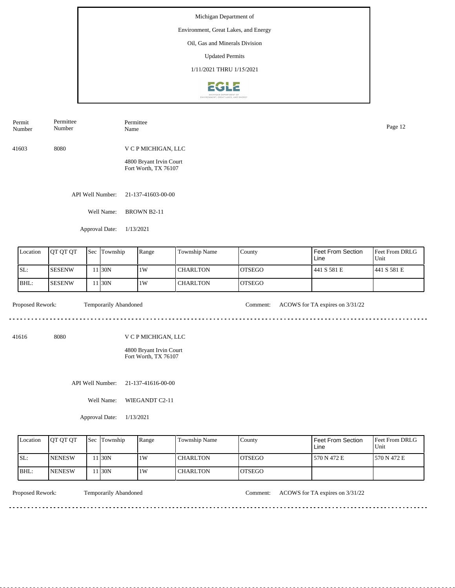

API Well Number: 21-137-41603-00-00 41603 8080 V C P MICHIGAN, LLC 4800 Bryant Irvin Court Fort Worth, TX 76107 Permit Number Permittee Number Permittee Name Page 12

Well Name: BROWN B2-11

Approval Date: 1/13/2021

| Location | <b>IOT OT OT</b> | <b>Sec</b> | Township | Range | <b>Township Name</b> | County         | l Feet From Section<br>Line | <b>Feet From DRLG</b><br>Unit |
|----------|------------------|------------|----------|-------|----------------------|----------------|-----------------------------|-------------------------------|
| ISL:     | <b>SESENW</b>    |            | 1 I30N   | 1W    | l CHARLTON           | <b>IOTSEGO</b> | 441 S 581 E                 | 1441 S 581 E                  |
| BHL:     | <b>SESENW</b>    |            | 1 I30N   | 1W    | <b>CHARLTON</b>      | <b>IOTSEGO</b> |                             |                               |

<u>. . . . . . . . . . . . . . . . .</u>

 $\mathcal{L}^{\mathcal{L}}\left( \mathcal{L}^{\mathcal{L}}\left( \mathcal{L}^{\mathcal{L}}\right) \right) =\mathcal{L}^{\mathcal{L}}\left( \mathcal{L}^{\mathcal{L}}\right)$ 

Proposed Rework: Temporarily Abandoned Comment: ACOWS for TA expires on  $3/31/22$ 

. . . . . . . . . . . . . . . . . .

41616 8080

V C P MICHIGAN, LLC

4800 Bryant Irvin Court Fort Worth, TX 76107

API Well Number: 21-137-41616-00-00

Well Name: WIEGANDT C2-11

Approval Date: 1/13/2021

| Location | <b>IOT OT OT</b> | <b>Sec Township</b> | Range | <b>Township Name</b> | County         | Feet From Section<br>∟ine | <b>Feet From DRLG</b><br>Unit |
|----------|------------------|---------------------|-------|----------------------|----------------|---------------------------|-------------------------------|
| ISL:     | <b>INENESW</b>   | 1 30N               | 1W    | CHARLTON             | <b>LOTSEGO</b> | 570 N 472 E               | 1570 N 472 E                  |
| BHL:     | <b>INENESW</b>   | 1 30N               | 1W    | <b>CHARLTON</b>      | IOTSEGO        |                           |                               |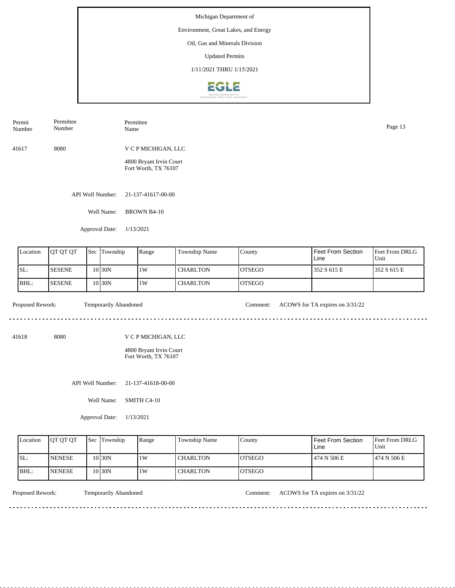API Well Number: 21-137-41617-00-00 Well Name: BROWN B4-10 41617 8080 V C P MICHIGAN, LLC 4800 Bryant Irvin Court Fort Worth, TX 76107 Permit Number Permittee Number Permittee Page 13<br>Name Page 13

Approval Date: 1/13/2021

| Location | JOT OT OT      | <b>Sec</b> | Township  | Range | Township Name   | County         | Feet From Section<br>Line | <b>Feet From DRLG</b><br>Unit |
|----------|----------------|------------|-----------|-------|-----------------|----------------|---------------------------|-------------------------------|
| SL:      | <b>ISESENE</b> |            | 10 I 30 N | 1W    | l CHARLTON      | IOTSEGO        | 352 S 615 E               | 1352 S 615 E                  |
| BHL:     | <b>ISESENE</b> |            | 10 I 30 N | 1W    | <b>CHARLTON</b> | <b>IOTSEGO</b> |                           |                               |

<u>. . . . . . . . .</u>

Proposed Rework: Temporarily Abandoned Comment: ACOWS for TA expires on  $3/31/22$ 

<u>. . . . . . . . . . . . . . . . .</u>

41618 8080

V C P MICHIGAN, LLC

4800 Bryant Irvin Court Fort Worth, TX 76107

API Well Number: 21-137-41618-00-00

Well Name: SMITH C4-10

Approval Date: 1/13/2021

| Location | <b>OT OT OT</b> | <b>Sec Township</b> | Range | Township Name   | County         | Feet From Section<br>Line | <b>Feet From DRLG</b><br>Unit |
|----------|-----------------|---------------------|-------|-----------------|----------------|---------------------------|-------------------------------|
| ISL:     | <b>INENESE</b>  | 10 <sub>30</sub> N  | 1W    | <b>CHARLTON</b> | <b>IOTSEGO</b> | 474 N 506 E               | 1474 N 506 E                  |
| BHL:     | <b>NENESE</b>   | 10 <sub>30N</sub>   | 1W    | <b>CHARLTON</b> | <b>IOTSEGO</b> |                           |                               |

Proposed Rework: Temporarily Abandoned Comment: ACOWS for TA expires on  $3/31/22$ 

<u>. . . . . . . .</u>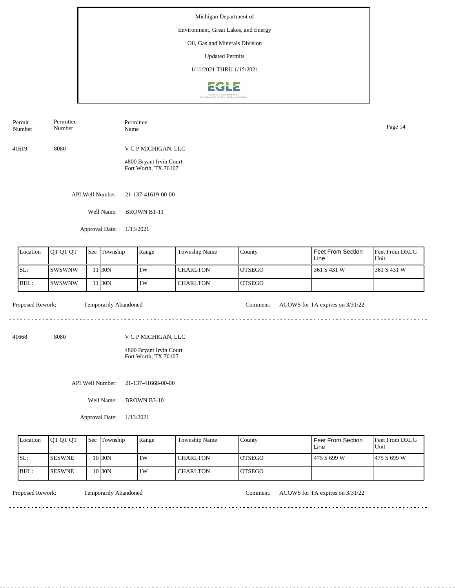## Environment, Great Lakes, and Energy

Oil, Gas and Minerals Division

Updated Permits

1/11/2021 THRU 1/15/2021



| Permit<br>Number | Permittee<br>Number | Permittee<br>Name                               | Page 14 |
|------------------|---------------------|-------------------------------------------------|---------|
| 41619            | 8080                | V C P MICHIGAN, LLC                             |         |
|                  |                     | 4800 Bryant Irvin Court<br>Fort Worth, TX 76107 |         |

API Well Number: 21-137-41619-00-00

Well Name: BROWN B1-11

Approval Date: 1/13/2021

| Location | <b>IOT OT OT</b> | Sec | Township | Range | Township Name   | County         | l Feet From Section<br>Line | <b>Feet From DRLG</b><br>Unit |
|----------|------------------|-----|----------|-------|-----------------|----------------|-----------------------------|-------------------------------|
| ISL:     | ISWSWNW          |     | 1 I30N   | 1W    | <b>CHARLTON</b> | IOTSEGO        | 361 S 431 W                 | 1361 S 431 W                  |
| IBHL:    | ISWSWNW          |     | 1 I30N   | 1W    | <b>CHARLTON</b> | <b>IOTSEGO</b> |                             |                               |

41668 8080

<u>. . . . . . . . .</u>

Proposed Rework: Temporarily Abandoned Comment: ACOWS for TA expires on  $3/31/22$ 

<u>. . . . . . . . . . . . . . . . . .</u>

V C P MICHIGAN, LLC

4800 Bryant Irvin Court Fort Worth, TX 76107

API Well Number: 21-137-41668-00-00

Well Name: BROWN B3-10

Approval Date: 1/13/2021

| Location | <b>IOT OT OT</b> | <b>Sec Township</b> | Range | Township Name   | County         | Feet From Section<br>Line | <b>Feet From DRLG</b><br>Unit |
|----------|------------------|---------------------|-------|-----------------|----------------|---------------------------|-------------------------------|
| ISL:     | <b>ISESWNE</b>   | 10 30N              | 1 W   | <b>CHARLTON</b> | <b>IOTSEGO</b> | 475 S 699 W               | 1475 S 699 W                  |
| IBHL:    | <b>ISESWNE</b>   | 10 30N              | 1 W   | <b>CHARLTON</b> | <b>IOTSEGO</b> |                           |                               |

<u>. . . . . . . . .</u>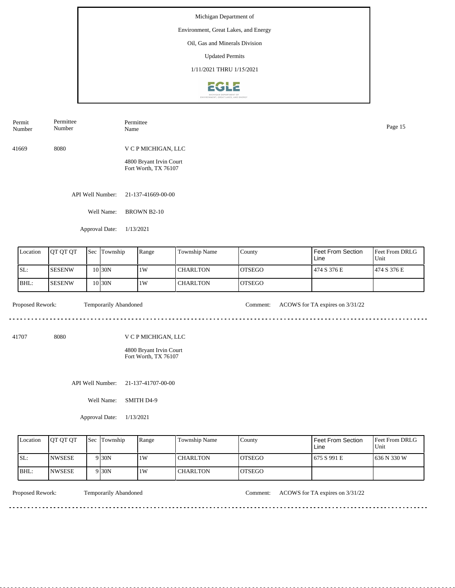## Environment, Great Lakes, and Energy

Oil, Gas and Minerals Division

Updated Permits

1/11/2021 THRU 1/15/2021



API Well Number: 21-137-41669-00-00 Well Name: BROWN B2-10 41669 8080 V C P MICHIGAN, LLC 4800 Bryant Irvin Court Fort Worth, TX 76107 Permit Number Permittee Number Permittee Name Page 15

Approval Date: 1/13/2021

| Location | <b>IOT OT OT</b> | <b>Sec Township</b> | Range | Township Name   | County         | l Feet From Section<br>Line | Feet From DRLG<br>Unit |
|----------|------------------|---------------------|-------|-----------------|----------------|-----------------------------|------------------------|
| SL:      | <b>SESENW</b>    | 10 I 30 N           | 1W    | CHARLTON        | IOTSEGO        | 474 S 376 E                 | 1474 S 376 E           |
| BHL:     | <b>SESENW</b>    | 10 I 30 N           | 1W    | <b>CHARLTON</b> | <b>IOTSEGO</b> |                             |                        |

<u>. . . . . . . . . . . . . . . . . . .</u>

 $\mathcal{L}^{\mathcal{L}}\left( \mathcal{L}^{\mathcal{L}}\left( \mathcal{L}^{\mathcal{L}}\right) \right) =\mathcal{L}^{\mathcal{L}}\left( \mathcal{L}^{\mathcal{L}}\right)$ 

Proposed Rework: Temporarily Abandoned Comment: ACOWS for TA expires on  $3/31/22$ 

. . . . . . . . . . . . . . . . . .

41707 8080

V C P MICHIGAN, LLC

4800 Bryant Irvin Court Fort Worth, TX 76107

API Well Number: 21-137-41707-00-00

Well Name: SMITH D4-9

Approval Date: 1/13/2021

| Location | <b>OT OT OT</b> | <b>Sec</b> Township | Range | <b>Township Name</b> | County         | <b>Feet From Section</b><br>∟ine | <b>Feet From DRLG</b><br>Unit |
|----------|-----------------|---------------------|-------|----------------------|----------------|----------------------------------|-------------------------------|
| ISL:     | <b>INWSESE</b>  | 9 30N               | 1W    | CHARLTON             | <b>LOTSEGO</b> | 675 S 991 E                      | 1636 N 330 W                  |
| $IBHL$ : | <b>INWSESE</b>  | 9 30N               | 1 W   | <b>CHARLTON</b>      | <b>IOTSEGO</b> |                                  |                               |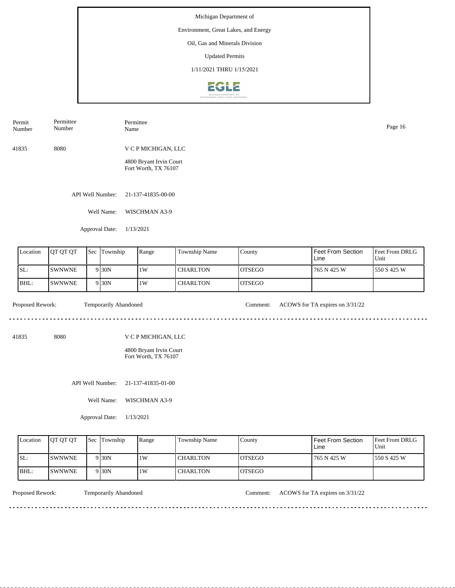## Environment, Great Lakes, and Energy

Oil, Gas and Minerals Division

Updated Permits

1/11/2021 THRU 1/15/2021



| Permit<br>Number | Permittee<br>Number | Permittee<br>Name                               | Page 16 |
|------------------|---------------------|-------------------------------------------------|---------|
| 41835            | 8080                | V C P MICHIGAN, LLC                             |         |
|                  |                     | 4800 Bryant Irvin Court<br>Fort Worth, TX 76107 |         |

API Well Number: 21-137-41835-00-00

Well Name: WISCHMAN A3-9

Approval Date: 1/13/2021

| Location | <b>IOT OT OT</b> | <b>Sec</b> | Township          | Range | <b>Township Name</b> | County         | l Feet From Section<br>Line | Feet From DRLG<br>Unit |
|----------|------------------|------------|-------------------|-------|----------------------|----------------|-----------------------------|------------------------|
| SL:      | <b>SWNWNE</b>    |            | 9 30N             | 1W    | <b>CHARLTON</b>      | <b>IOTSEGO</b> | 1765 N 425 W                | 1550 S 425 W           |
| BHL:     | <b>SWNWNE</b>    |            | 9 <sub>30</sub> N | 1W    | <b>CHARLTON</b>      | <b>IOTSEGO</b> |                             |                        |

 $- - - - - -$ 

Proposed Rework: Temporarily Abandoned Comment: ACOWS for TA expires on  $3/31/22$ 

. . . . . . . . . . . . . . . . . .

<u>. . . . . . . . . . . . . . . . .</u>

41835 8080

V C P MICHIGAN, LLC

4800 Bryant Irvin Court Fort Worth, TX 76107

API Well Number: 21-137-41835-01-00

Well Name: WISCHMAN A3-9

Approval Date: 1/13/2021

| Location | <b>OT OT OT</b> | <b>Sec Township</b> | Range | Township Name   | County         | Feet From Section<br>Line | <b>Feet From DRLG</b><br>Unit |
|----------|-----------------|---------------------|-------|-----------------|----------------|---------------------------|-------------------------------|
| ISL:     | <b>ISWNWNE</b>  | 9 30N               | 1 W   | <b>CHARLTON</b> | <b>IOTSEGO</b> | 765 N 425 W               | 1550 S 425 W                  |
| IBHL:    | <b>ISWNWNE</b>  | 9 30N               | 1 W   | <b>CHARLTON</b> | <b>IOTSEGO</b> |                           |                               |

 $- - - - - - -$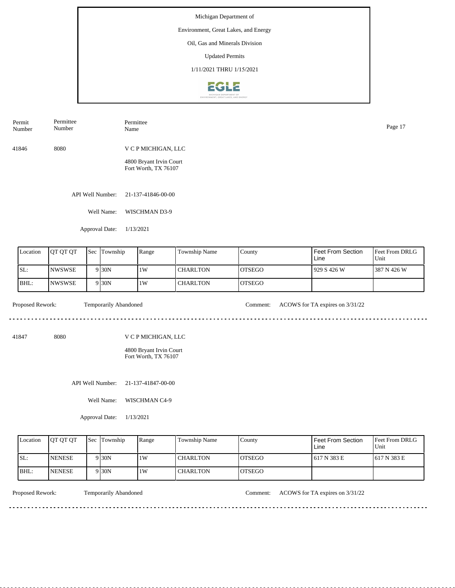## Environment, Great Lakes, and Energy

Oil, Gas and Minerals Division

Updated Permits

1/11/2021 THRU 1/15/2021



41846 8080 V C P MICHIGAN, LLC 4800 Bryant Irvin Court Fort Worth, TX 76107 Permit Number Permittee Number Permittee Name Page 17

API Well Number: 21-137-41846-00-00

Well Name: WISCHMAN D3-9

Approval Date: 1/13/2021

| Location | <b>OT QT QT</b> | Sec | Township          | Range | Township Name   | County  | Feet From Section<br>Line | <b>Feet From DRLG</b><br>Unit |
|----------|-----------------|-----|-------------------|-------|-----------------|---------|---------------------------|-------------------------------|
| ISL:     | <b>NWSWSE</b>   |     | 9 <sub>30</sub> N | 1W    | <b>CHARLTON</b> | IOTSEGO | 929 S 426 W               | 1387 N 426 W                  |
| BHL:     | <b>NWSWSE</b>   |     | 9 <sub>30</sub> N | 1W    | <b>CHARLTON</b> | IOTSEGO |                           |                               |

<u>. . . . . . . . .</u>

Proposed Rework: Temporarily Abandoned Comment: ACOWS for TA expires on  $3/31/22$ 

<u>. . . . . . . . . . . . . . . . .</u>

41847 8080

V C P MICHIGAN, LLC

4800 Bryant Irvin Court Fort Worth, TX 76107

API Well Number: 21-137-41847-00-00

Well Name: WISCHMAN C4-9

Approval Date: 1/13/2021

| Location | <b>OT OT OT</b> | <b>Sec Township</b> | Range | Township Name   | County         | Feet From Section<br>Line | <b>Feet From DRLG</b><br>Unit |
|----------|-----------------|---------------------|-------|-----------------|----------------|---------------------------|-------------------------------|
| ISL:     | <b>NENESE</b>   | 9 <sub>30</sub> N   | 1W    | <b>CHARLTON</b> | <b>IOTSEGO</b> | 1617 N 383 E              | 1617 N 383 E                  |
| IBHL:    | <b>INENESE</b>  | 9 <sub>30</sub> N   | 1W    | <b>CHARLTON</b> | IOTSEGO        |                           |                               |

<u>. . . . . . . .</u>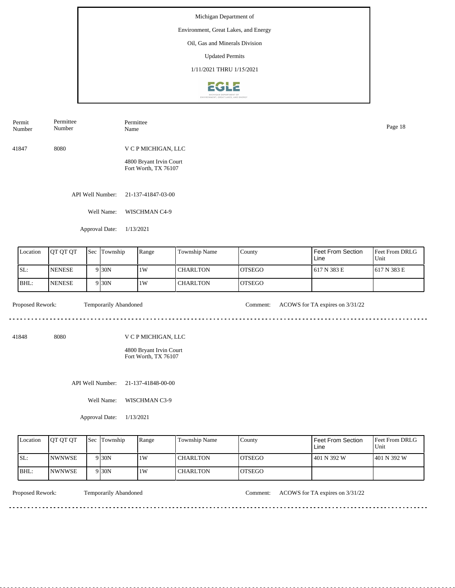Environment, Great Lakes, and Energy

Oil, Gas and Minerals Division

Updated Permits

1/11/2021 THRU 1/15/2021



41847 8080 V C P MICHIGAN, LLC Permit Number Permittee Number Permittee Name Page 18

4800 Bryant Irvin Court Fort Worth, TX 76107

API Well Number: 21-137-41847-03-00

Well Name: WISCHMAN C4-9

Approval Date: 1/13/2021

| Location | <b>JOT OT OT</b> | Sec Township      | Range | Township Name   | County         | l Feet From Section<br>Line | <b>Feet From DRLG</b><br>Unit |
|----------|------------------|-------------------|-------|-----------------|----------------|-----------------------------|-------------------------------|
| SL:      | <b>INENESE</b>   | 9 <sub>30</sub> N | 1W    | <b>CHARLTON</b> | IOTSEGO        | 617 N 383 E                 | 1617 N 383 E                  |
| BHL:     | <b>INENESE</b>   | 9 <sub>30</sub> N | 1W    | <b>CHARLTON</b> | <b>IOTSEGO</b> |                             |                               |

<u>. . . . . . . . .</u>

Proposed Rework: Temporarily Abandoned Comment: ACOWS for TA expires on  $3/31/22$ 

<u>. . . . . . . . . . . . . . . . .</u>

41848 8080

V C P MICHIGAN, LLC

4800 Bryant Irvin Court Fort Worth, TX 76107

API Well Number: 21-137-41848-00-00

Well Name: WISCHMAN C3-9

Approval Date: 1/13/2021

| Location | <b>IOT OT OT</b> | <b>Sec</b> Township | Range | <b>Township Name</b> | County         | l Feet From Section<br>Line | <b>Feet From DRLG</b><br>Unit |
|----------|------------------|---------------------|-------|----------------------|----------------|-----------------------------|-------------------------------|
| ISL:     | <b>INWNWSE</b>   | 9 30N               | 1W    | <b>CHARLTON</b>      | <b>IOTSEGO</b> | 1401 N 392 W                | 1401 N 392 W                  |
| BHL:     | <b>INWNWSE</b>   | 9 30N               | 1W    | <b>CHARLTON</b>      | <b>IOTSEGO</b> |                             |                               |

<u>. . . . . . . .</u>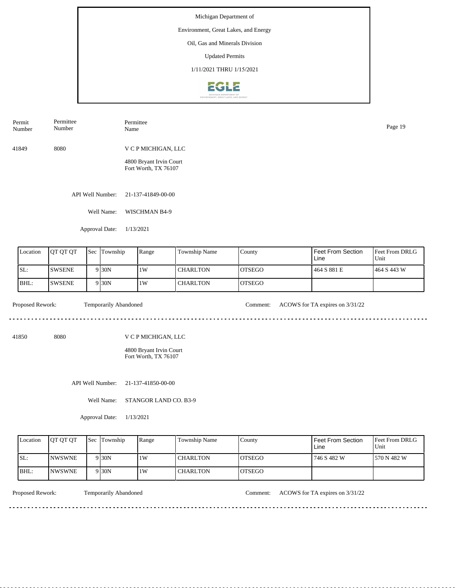## Environment, Great Lakes, and Energy

Oil, Gas and Minerals Division

Updated Permits

1/11/2021 THRU 1/15/2021



41849 8080 V C P MICHIGAN, LLC 4800 Bryant Irvin Court Fort Worth, TX 76107 Permit Number Permittee Number Permittee Name Page 19

API Well Number: 21-137-41849-00-00

Well Name: WISCHMAN B4-9

Approval Date: 1/13/2021

| Location | <b>IOT OT OT</b> | <b>Sec</b> | Township          | Range | <b>Township Name</b> | County         | Feet From Section<br>Line | <b>Feet From DRLG</b><br>Unit |
|----------|------------------|------------|-------------------|-------|----------------------|----------------|---------------------------|-------------------------------|
| SL:      | <b>SWSENE</b>    |            | 9 <sub>30</sub> N | 1W    | I CHARLTON           | <b>IOTSEGO</b> | 464 S 881 E               | 1464 S 443 W                  |
| BHL:     | <b>SWSENE</b>    |            | 9 <sub>30</sub> N | 1W    | <b>CHARLTON</b>      | <b>IOTSEGO</b> |                           |                               |

 $\mathcal{L}^{\mathcal{L}}\left( \mathcal{L}^{\mathcal{L}}\left( \mathcal{L}^{\mathcal{L}}\right) \right) =\mathcal{L}^{\mathcal{L}}\left( \mathcal{L}^{\mathcal{L}}\right)$ 

Proposed Rework: Temporarily Abandoned Comment: ACOWS for TA expires on  $3/31/22$ 

41850 8080

V C P MICHIGAN, LLC

4800 Bryant Irvin Court Fort Worth, TX 76107

API Well Number: 21-137-41850-00-00

Well Name: STANGOR LAND CO. B3-9

Approval Date: 1/13/2021

| Location | <b>OT OT OT</b> | <b>Sec Township</b> | Range | <b>Township Name</b> | County         | <b>Feet From Section</b><br>∟ine | <b>Feet From DRLG</b><br>Unit |
|----------|-----------------|---------------------|-------|----------------------|----------------|----------------------------------|-------------------------------|
| SL:      | <b>INWSWNE</b>  | 9 30N               | 1 W   | CHARLTON             | <b>LOTSEGO</b> | ' 746 S 482 W                    | 570 N 482 W                   |
| BHL:     | <b>INWSWNE</b>  | 9 30N               | 1W    | <b>CHARLTON</b>      | <b>OTSEGO</b>  |                                  |                               |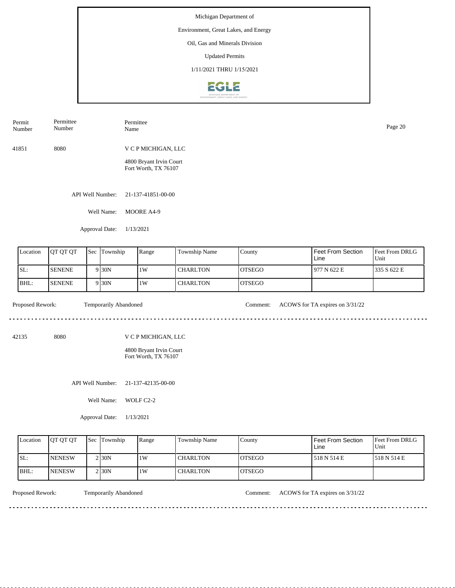API Well Number: 21-137-41851-00-00 Well Name: MOORE A4-9 41851 8080 V C P MICHIGAN, LLC 4800 Bryant Irvin Court Fort Worth, TX 76107 Permit Number Permittee Number Permittee Name Page 20

Approval Date: 1/13/2021

| Location | <b>OT OT OT</b> | $\text{Sec}$ | Township          | Range | <b>Township Name</b> | County         | Feet From Section<br>Line | <b>Feet From DRLG</b><br>Unit |
|----------|-----------------|--------------|-------------------|-------|----------------------|----------------|---------------------------|-------------------------------|
| SL:      | <b>ISENENE</b>  |              | 9 <sub>30</sub> N | 1W    | I CHARLTON-          | <b>IOTSEGO</b> | 1977 N 622 E              | 1335 S 622 E                  |
| BHL:     | <b>SENENE</b>   |              | 9 <sub>30</sub> N | 1W    | <b>CHARLTON</b>      | IOTSEGO        |                           |                               |

<u>. . . . . . . . . . . . . . . . .</u>

 $- - - - - -$ 

Proposed Rework: Temporarily Abandoned Comment: ACOWS for TA expires on  $3/31/22$ 

. . . . . . . . . . . . . . . . . . . .

42135 8080

V C P MICHIGAN, LLC

4800 Bryant Irvin Court Fort Worth, TX 76107

API Well Number: 21-137-42135-00-00

Well Name: WOLF C2-2

Approval Date: 1/13/2021

| Location | <b>OT OT OT</b> | <b>Sec Township</b> | Range | Township Name   | Countv         | Feet From Section<br>Line | <b>Feet From DRLG</b><br>Unit |
|----------|-----------------|---------------------|-------|-----------------|----------------|---------------------------|-------------------------------|
| ISL:     | <b>INENESW</b>  | $2$ <sub>30</sub> N | 1W    | <b>CHARLTON</b> | <b>IOTSEGO</b> | 518 N 514 E               | 1518 N 514 E                  |
| BHL:     | <b>INENESW</b>  | $2$ <sub>30</sub> N | 1W    | <b>CHARLTON</b> | <b>IOTSEGO</b> |                           |                               |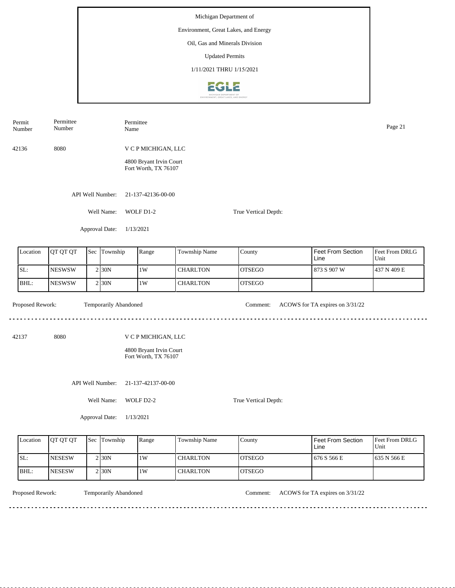| Number           | Number        |                              | Name                                                                   |                 |                      |                                 | Page 21                |  |  |
|------------------|---------------|------------------------------|------------------------------------------------------------------------|-----------------|----------------------|---------------------------------|------------------------|--|--|
| 42136            | 8080          |                              | V C P MICHIGAN, LLC<br>4800 Bryant Irvin Court<br>Fort Worth, TX 76107 |                 |                      |                                 |                        |  |  |
|                  |               | API Well Number:             | 21-137-42136-00-00                                                     |                 |                      |                                 |                        |  |  |
|                  |               | Well Name:                   | WOLF D1-2<br>True Vertical Depth:                                      |                 |                      |                                 |                        |  |  |
|                  |               | Approval Date:               | 1/13/2021                                                              |                 |                      |                                 |                        |  |  |
| Location         | QT QT QT      | Sec Township                 | Range                                                                  | Township Name   | County               | Feet From Section<br>Line       | Feet From DRLG<br>Unit |  |  |
| SL:              | <b>NESWSW</b> | 2 30N                        | $1\mathrm{W}$                                                          | <b>CHARLTON</b> | <b>OTSEGO</b>        | 873 S 907 W                     | 437 N 409 E            |  |  |
| BHL:             | <b>NESWSW</b> | 2 30N                        | $1\mathrm{W}$                                                          | <b>CHARLTON</b> | <b>OTSEGO</b>        |                                 |                        |  |  |
| Proposed Rework: |               | Temporarily Abandoned        |                                                                        |                 | Comment:             | ACOWS for TA expires on 3/31/22 |                        |  |  |
| 42137            | 8080          |                              | V C P MICHIGAN, LLC<br>4800 Bryant Irvin Court<br>Fort Worth, TX 76107 |                 |                      |                                 |                        |  |  |
|                  |               | API Well Number:             | 21-137-42137-00-00                                                     |                 |                      |                                 |                        |  |  |
|                  |               | Well Name:<br>Approval Date: | WOLF D2-2<br>1/13/2021                                                 |                 | True Vertical Depth: |                                 |                        |  |  |
|                  |               |                              |                                                                        |                 |                      |                                 |                        |  |  |

| Location | <b>OT OT OT</b> | <b>Sec Township</b> | Range | Township Name   | County         | Feet From Section<br>Line | <b>Feet From DRLG</b><br>Unit |
|----------|-----------------|---------------------|-------|-----------------|----------------|---------------------------|-------------------------------|
| SL:      | <b>NESESW</b>   | $2$ <sub>30</sub> N | 1W    | <b>CHARLTON</b> | <b>IOTSEGO</b> | 676 S 566 E               | 1635 N 566 E                  |
| BHL:     | <b>NESESW</b>   | $2$ <sub>30</sub> N | 1W    | <b>CHARLTON</b> | <b>IOTSEGO</b> |                           |                               |

<u>. . . . . . . .</u>

Permit

Permittee

Permittee

Temporarily Abandoned

Proposed Rework: Temporarily Abandoned Comment: ACOWS for TA expires on  $3/31/22$ 

<u>. . . . . . . . . . . . . . . . . .</u>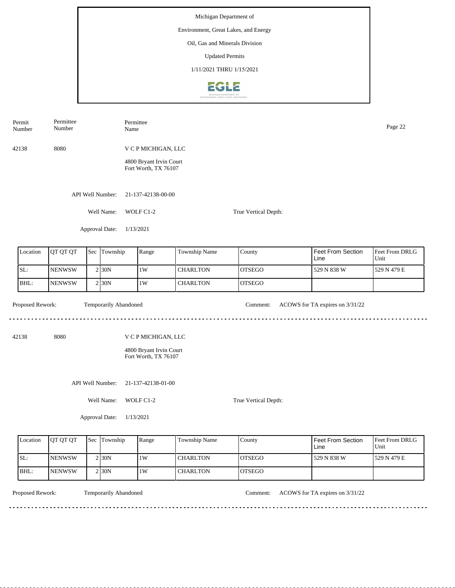Number Page 22<br>Name Page 22 Number 42138 8080 V C P MICHIGAN, LLC 4800 Bryant Irvin Court Fort Worth, TX 76107 API Well Number: 21-137-42138-00-00 Well Name: WOLF C1-2 True Vertical Depth: Approval Date: 1/13/2021 Feet From Section Location | QT QT QT | Sec | Township | Range | Township Name Sec Township County Feet From DRLG Unit Line SL: NENWSW 1W CHARLTON OTSEGO 529 N 838 W 529 N 479 E 2 30N BHL: **NENWSW CHARLTON** OTSEGO 2 30N 1W Proposed Rework: Temporarily Abandoned Comment: ACOWS for TA expires on  $3/31/22$ Temporarily Abandoned <u>. . . . . . .</u> . . . . . . . . . . . . . . . . . . . . 42138 8080 V C P MICHIGAN, LLC 4800 Bryant Irvin Court Fort Worth, TX 76107 API Well Number: 21-137-42138-01-00 Well Name: WOLF C1-2 True Vertical Depth: Approval Date: 1/13/2021

| Location | <b>IOT OT OT</b> | <b>Sec Township</b> | Range | <b>Township Name</b> | County         | Feet From Section<br>Line | <b>Feet From DRLG</b><br>Unit |
|----------|------------------|---------------------|-------|----------------------|----------------|---------------------------|-------------------------------|
| ISL:     | <b>INENWSW</b>   | 2130N               | 1W    | <b>CHARLTON</b>      | IOTSEGO        | 529 N 838 W               | 1529 N 479 E                  |
| BHL:     | <b>INENWSW</b>   | 2130 <sub>N</sub>   | 1W    | <b>CHARLTON</b>      | <b>IOTSEGO</b> |                           |                               |

<u>. . . . . . . .</u>

Permit

Permittee

Permittee

Temporarily Abandoned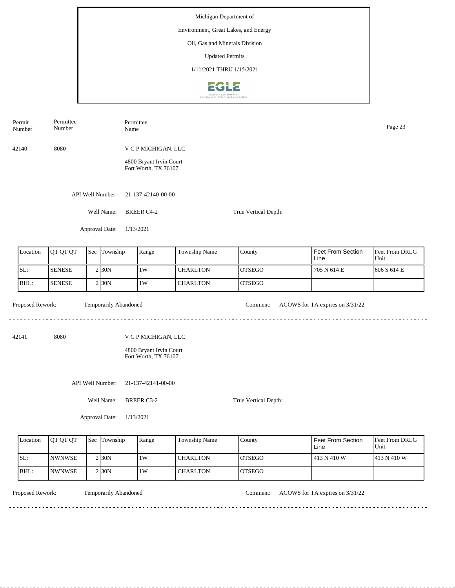| Permit<br>Number | Permittee<br>Number | Name                  | Permittee                                       |                 |                      | Page 23                         |                        |  |  |
|------------------|---------------------|-----------------------|-------------------------------------------------|-----------------|----------------------|---------------------------------|------------------------|--|--|
| 42140            | 8080                |                       | V C P MICHIGAN, LLC                             |                 |                      |                                 |                        |  |  |
|                  |                     |                       | 4800 Bryant Irvin Court<br>Fort Worth, TX 76107 |                 |                      |                                 |                        |  |  |
|                  |                     | API Well Number:      | 21-137-42140-00-00                              |                 |                      |                                 |                        |  |  |
|                  |                     | Well Name:            | <b>BREER C4-2</b>                               |                 | True Vertical Depth: |                                 |                        |  |  |
|                  |                     | Approval Date:        | 1/13/2021                                       |                 |                      |                                 |                        |  |  |
| Location         | QT QT QT            | Sec Township          | Range                                           | Township Name   | County               | Feet From Section<br>Line       | Feet From DRLG<br>Unit |  |  |
| SL:              | <b>SENESE</b>       | 2 30N                 | 1W                                              | <b>CHARLTON</b> | <b>OTSEGO</b>        | 705 N 614 E                     | 606 S 614 E            |  |  |
| BHL:             | <b>SENESE</b>       | 2 30N                 | 1W                                              | <b>CHARLTON</b> | <b>OTSEGO</b>        |                                 |                        |  |  |
| Proposed Rework: |                     | Temporarily Abandoned |                                                 |                 | Comment:             | ACOWS for TA expires on 3/31/22 |                        |  |  |
| 42141            | 8080                |                       | V C P MICHIGAN, LLC                             |                 |                      |                                 |                        |  |  |
|                  |                     |                       | 4800 Bryant Irvin Court<br>Fort Worth, TX 76107 |                 |                      |                                 |                        |  |  |
|                  |                     | API Well Number:      | 21-137-42141-00-00                              |                 |                      |                                 |                        |  |  |
|                  |                     | Well Name:            | <b>BREER C3-2</b>                               |                 | True Vertical Depth: |                                 |                        |  |  |
|                  |                     | Approval Date:        | 1/13/2021                                       |                 |                      |                                 |                        |  |  |

| Location | <b>OT OT OT</b> | Sec Township        | Range | Township Name | County        | Feet From Section<br>Line | Feet From DRLG<br>Unit |
|----------|-----------------|---------------------|-------|---------------|---------------|---------------------------|------------------------|
| SL:      | <b>INWNWSE</b>  | 2 I 30 N            | 1W    | l CHARLTON    | IOTSEGO       | 413 N 410 W               | 1413 N 410 W           |
| BHL:     | <b>INWNWSE</b>  | $2$ <sub>30</sub> N | 1W    | l CHARLTON    | <b>OTSEGO</b> |                           |                        |

<u>. . . . . . . .</u>

Temporarily Abandoned

Proposed Rework: Temporarily Abandoned Comment: ACOWS for TA expires on  $3/31/22$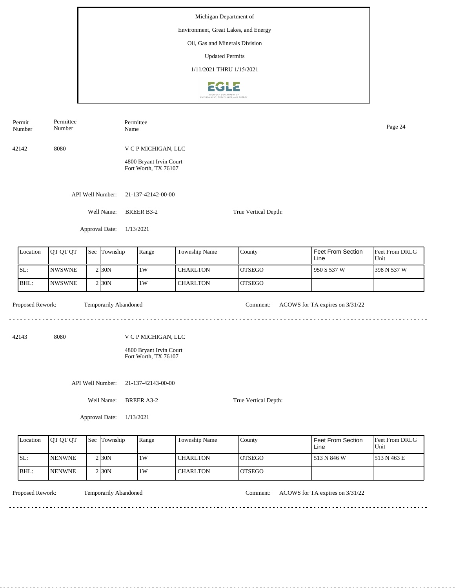| Number           | Number        |                |                       | Name                                                                   |                    |                      |                                 | Page 24                |  |  |  |
|------------------|---------------|----------------|-----------------------|------------------------------------------------------------------------|--------------------|----------------------|---------------------------------|------------------------|--|--|--|
| 42142            | 8080          |                |                       | V C P MICHIGAN, LLC<br>4800 Bryant Irvin Court<br>Fort Worth, TX 76107 |                    |                      |                                 |                        |  |  |  |
|                  |               |                | API Well Number:      | 21-137-42142-00-00                                                     |                    |                      |                                 |                        |  |  |  |
|                  |               |                | Well Name:            | <b>BREER B3-2</b>                                                      |                    | True Vertical Depth: |                                 |                        |  |  |  |
|                  |               |                | Approval Date:        | 1/13/2021                                                              |                    |                      |                                 |                        |  |  |  |
| Location         | QT QT QT      |                | Sec Township          | Range                                                                  | Township Name      | County               | Feet From Section<br>Line       | Feet From DRLG<br>Unit |  |  |  |
| SL:              | <b>NWSWNE</b> | $\overline{2}$ | 30N                   | $1\mathrm{W}$                                                          | <b>CHARLTON</b>    | <b>OTSEGO</b>        | 950 S 537 W                     | 398 N 537 W            |  |  |  |
| BHL:             | <b>NWSWNE</b> | $\overline{2}$ | 30N                   | 1W                                                                     | <b>CHARLTON</b>    | <b>OTSEGO</b>        |                                 |                        |  |  |  |
| Proposed Rework: |               |                | Temporarily Abandoned |                                                                        |                    | Comment:             | ACOWS for TA expires on 3/31/22 |                        |  |  |  |
| 42143            | 8080          |                |                       | V C P MICHIGAN, LLC<br>4800 Bryant Irvin Court<br>Fort Worth, TX 76107 |                    |                      |                                 |                        |  |  |  |
|                  |               |                | API Well Number:      |                                                                        | 21-137-42143-00-00 |                      |                                 |                        |  |  |  |
|                  |               |                | Well Name:            | <b>BREER A3-2</b>                                                      |                    |                      |                                 |                        |  |  |  |
|                  |               |                | Approval Date:        | 1/13/2021                                                              |                    |                      |                                 |                        |  |  |  |

| Location | <b>OT OT OT</b> | Sec Township | Range | Township Name   | County         | Feet From Section<br>Line | Feet From DRLG<br>Unit |
|----------|-----------------|--------------|-------|-----------------|----------------|---------------------------|------------------------|
| SL:      | <b>INENWNE</b>  | 2130N        | 1W    | l CHARLTON      | IOTSEGO        | 513 N 846 W               | 1513 N 463 E           |
| IBHL:    | <b>INENWNE</b>  | 2 30N        | 1W    | <b>CHARLTON</b> | <b>IOTSEGO</b> |                           |                        |

<u>. . . . . . . .</u>

Permit

Permittee

Permittee

Temporarily Abandoned

Proposed Rework: Temporarily Abandoned Comment: ACOWS for TA expires on  $3/31/22$ 

<u>. . . . . . . . . . . . . . . . . .</u>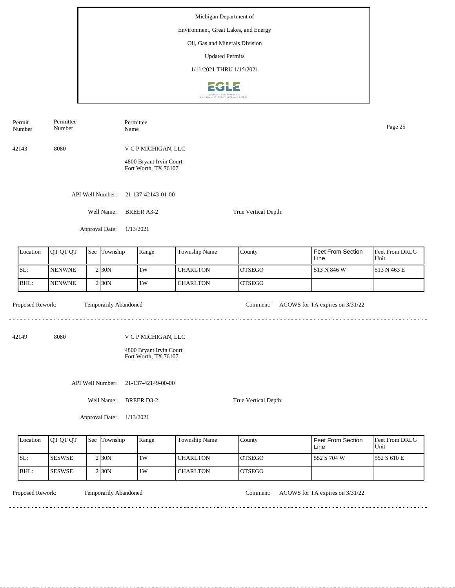| Number           | Number        |  |                       | Name                                                                   |                 |                      |                                 | Page 25                |  |  |
|------------------|---------------|--|-----------------------|------------------------------------------------------------------------|-----------------|----------------------|---------------------------------|------------------------|--|--|
| 42143            | 8080          |  |                       | V C P MICHIGAN, LLC<br>4800 Bryant Irvin Court<br>Fort Worth, TX 76107 |                 |                      |                                 |                        |  |  |
|                  |               |  | API Well Number:      | 21-137-42143-01-00                                                     |                 |                      |                                 |                        |  |  |
|                  |               |  | Well Name:            | <b>BREER A3-2</b>                                                      |                 |                      |                                 |                        |  |  |
|                  |               |  | Approval Date:        | 1/13/2021                                                              |                 |                      |                                 |                        |  |  |
| Location         | QT QT QT      |  | Sec Township          | Range                                                                  | Township Name   | County               | Feet From Section<br>Line       | Feet From DRLG<br>Unit |  |  |
| SL:              | <b>NENWNE</b> |  | 2 30N                 | 1W                                                                     | <b>CHARLTON</b> | <b>OTSEGO</b>        | 513 N 846 W                     | 513 N 463 E            |  |  |
| BHL:             | <b>NENWNE</b> |  | 2 30N                 | 1W                                                                     | <b>CHARLTON</b> | <b>OTSEGO</b>        |                                 |                        |  |  |
| Proposed Rework: |               |  | Temporarily Abandoned |                                                                        |                 | Comment:             | ACOWS for TA expires on 3/31/22 |                        |  |  |
| 42149            | 8080          |  |                       | V C P MICHIGAN, LLC                                                    |                 |                      |                                 |                        |  |  |
|                  |               |  |                       | 4800 Bryant Irvin Court<br>Fort Worth, TX 76107                        |                 |                      |                                 |                        |  |  |
|                  |               |  | API Well Number:      | 21-137-42149-00-00                                                     |                 |                      |                                 |                        |  |  |
| Well Name:       |               |  |                       | <b>BREER D3-2</b>                                                      |                 | True Vertical Depth: |                                 |                        |  |  |
|                  |               |  | Approval Date:        | 1/13/2021                                                              |                 |                      |                                 |                        |  |  |

| Location | <b>IOT OT OT</b> | <b>Sec Township</b> | Range | <b>Township Name</b> | County         | Feet From Section<br>Line | <b>Feet From DRLG</b><br>Unit |
|----------|------------------|---------------------|-------|----------------------|----------------|---------------------------|-------------------------------|
| SL:      | <b>ISESWSE</b>   | $2$ <sub>30</sub> N | 1W    | <b>CHARLTON</b>      | <b>IOTSEGO</b> | 552 S 704 W               | 1552 S 610 E                  |
| BHL:     | <b>SESWSE</b>    | $2$ <sub>30</sub> N | 1W    | <b>CHARLTON</b>      | <b>OTSEGO</b>  |                           |                               |

<u>. . . . . . . .</u>

Permit

Permittee

Permittee

Temporarily Abandoned

Proposed Rework: Temporarily Abandoned Comment: ACOWS for TA expires on  $3/31/22$ 

<u>. . . . . . . . . . . . . . . . .</u>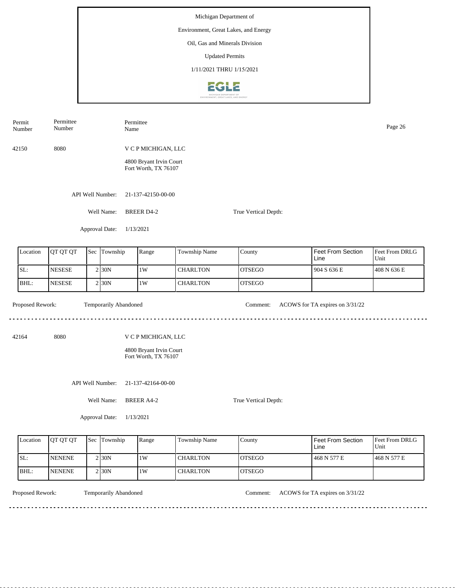| Permit<br>Number | Permittee<br>Number |  | Permittee<br>Name     |                                                 |                 |                      |                                 | Page 26                |  |  |
|------------------|---------------------|--|-----------------------|-------------------------------------------------|-----------------|----------------------|---------------------------------|------------------------|--|--|
| 42150            | 8080                |  |                       | V C P MICHIGAN, LLC                             |                 |                      |                                 |                        |  |  |
|                  |                     |  |                       | 4800 Bryant Irvin Court<br>Fort Worth, TX 76107 |                 |                      |                                 |                        |  |  |
|                  |                     |  | API Well Number:      | 21-137-42150-00-00                              |                 |                      |                                 |                        |  |  |
|                  |                     |  | Well Name:            | <b>BREER D4-2</b>                               |                 | True Vertical Depth: |                                 |                        |  |  |
|                  |                     |  | Approval Date:        | 1/13/2021                                       |                 |                      |                                 |                        |  |  |
| Location         | QT QT QT            |  | Sec Township          | Range                                           | Township Name   | County               | Feet From Section<br>Line       | Feet From DRLG<br>Unit |  |  |
| SL:              | <b>NESESE</b>       |  | 2 30N                 | $1\mathrm{W}$                                   | <b>CHARLTON</b> | <b>OTSEGO</b>        | 904 S 636 E                     | 408 N 636 E            |  |  |
| BHL:             | <b>NESESE</b>       |  | 2 30N                 | 1W                                              | <b>CHARLTON</b> | <b>OTSEGO</b>        |                                 |                        |  |  |
| Proposed Rework: |                     |  | Temporarily Abandoned |                                                 |                 | Comment:             | ACOWS for TA expires on 3/31/22 |                        |  |  |
| 42164            | 8080                |  |                       | V C P MICHIGAN, LLC                             |                 |                      |                                 |                        |  |  |
|                  |                     |  |                       | 4800 Bryant Irvin Court<br>Fort Worth, TX 76107 |                 |                      |                                 |                        |  |  |
| API Well Number: |                     |  |                       | 21-137-42164-00-00                              |                 |                      |                                 |                        |  |  |
|                  |                     |  | Well Name:            | <b>BREER A4-2</b>                               |                 | True Vertical Depth: |                                 |                        |  |  |
|                  |                     |  | Approval Date:        | 1/13/2021                                       |                 |                      |                                 |                        |  |  |

| Location | <b>OT OT OT</b> | <b>Sec</b> | Township            | Range | Township Name | County         | <b>Feet From Section</b><br>Line | <b>Feet From DRLG</b><br>Unit |
|----------|-----------------|------------|---------------------|-------|---------------|----------------|----------------------------------|-------------------------------|
| SL:      | <b>NENENE</b>   |            | $2$ <sub>30</sub> N | 1W    | l CHARLTON    | IOTSEGO        | 468 N 577 E                      | 1468 N 577 E                  |
| BHL:     | <b>NENENE</b>   |            | 2 <sub>30</sub> N   | 1W    | l CHARLTON    | <b>IOTSEGO</b> |                                  |                               |

<u>. . . . . . . .</u>

Temporarily Abandoned

Proposed Rework: Temporarily Abandoned Comment: ACOWS for TA expires on  $3/31/22$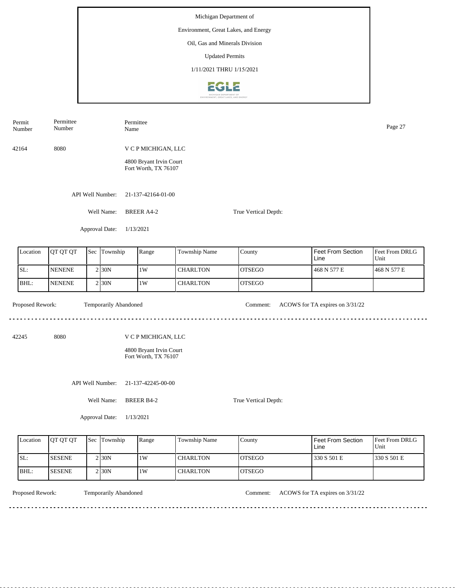| Permit<br>Number | Permittee<br>Permittee<br>Number<br>Name |                |                       |                                                 |                 |                      |                                 |                        |  |  |  |
|------------------|------------------------------------------|----------------|-----------------------|-------------------------------------------------|-----------------|----------------------|---------------------------------|------------------------|--|--|--|
| 42164            | 8080                                     |                |                       | V C P MICHIGAN, LLC                             |                 |                      |                                 |                        |  |  |  |
|                  |                                          |                |                       | 4800 Bryant Irvin Court<br>Fort Worth, TX 76107 |                 |                      |                                 |                        |  |  |  |
|                  |                                          |                | API Well Number:      | 21-137-42164-01-00                              |                 |                      |                                 |                        |  |  |  |
|                  |                                          |                | Well Name:            | <b>BREER A4-2</b><br>True Vertical Depth:       |                 |                      |                                 |                        |  |  |  |
|                  |                                          |                | Approval Date:        | 1/13/2021                                       |                 |                      |                                 |                        |  |  |  |
| Location         | QT QT QT                                 | Sec            | Township              | Range                                           | Township Name   | County               | Feet From Section<br>Line       | Feet From DRLG<br>Unit |  |  |  |
| SL:              | <b>NENENE</b>                            |                | 2 30N                 | 1W                                              | <b>CHARLTON</b> | <b>OTSEGO</b>        | 468 N 577 E                     | 468 N 577 E            |  |  |  |
| BHL:             | <b>NENENE</b>                            | $\overline{c}$ | 30N                   | 1W                                              | <b>CHARLTON</b> | <b>OTSEGO</b>        |                                 |                        |  |  |  |
| Proposed Rework: |                                          |                | Temporarily Abandoned |                                                 |                 | Comment:             | ACOWS for TA expires on 3/31/22 |                        |  |  |  |
| 42245            | 8080                                     |                |                       | V C P MICHIGAN, LLC                             |                 |                      |                                 |                        |  |  |  |
|                  |                                          |                |                       | 4800 Bryant Irvin Court<br>Fort Worth, TX 76107 |                 |                      |                                 |                        |  |  |  |
|                  |                                          |                | API Well Number:      | 21-137-42245-00-00                              |                 |                      |                                 |                        |  |  |  |
|                  |                                          |                | Well Name:            | <b>BREER B4-2</b>                               |                 | True Vertical Depth: |                                 |                        |  |  |  |
|                  |                                          |                | Approval Date:        | 1/13/2021                                       |                 |                      |                                 |                        |  |  |  |

| Location | <b>OT OT OT</b> | <b>Sec Township</b> | Range | <b>Township Name</b> | County         | Feet From Section<br>Line | Feet From DRLG<br>Unit |
|----------|-----------------|---------------------|-------|----------------------|----------------|---------------------------|------------------------|
| SL:      | <b>SESENE</b>   | $2$ <sub>30</sub> N | 1W    | <b>CHARLTON</b>      | <b>IOTSEGO</b> | 330 S 501 E               | 330 S 501 E            |
| IBHL:    | <b>SESENE</b>   | $2$ <sub>30</sub> N | 1W    | <b>CHARLTON</b>      | <b>IOTSEGO</b> |                           |                        |

<u>. . . . . . . .</u>

Temporarily Abandoned

Proposed Rework: Temporarily Abandoned Comment: ACOWS for TA expires on  $3/31/22$ 

<u>. . . . . . . . . . . . . . . . . .</u>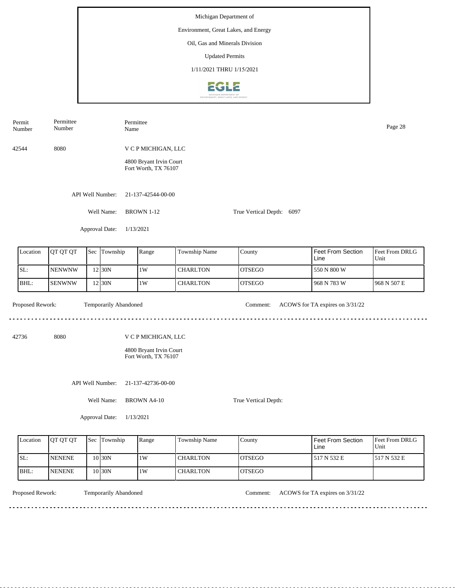| Permit<br>Number |                  | Permittee<br>Number |  | Permittee<br>Name     |                                                 |                 |                           |                                 | Page 28                |  |  |
|------------------|------------------|---------------------|--|-----------------------|-------------------------------------------------|-----------------|---------------------------|---------------------------------|------------------------|--|--|
| 42544            |                  | 8080                |  |                       | V C P MICHIGAN, LLC                             |                 |                           |                                 |                        |  |  |
|                  |                  |                     |  |                       | 4800 Bryant Irvin Court<br>Fort Worth, TX 76107 |                 |                           |                                 |                        |  |  |
| API Well Number: |                  |                     |  |                       | 21-137-42544-00-00                              |                 |                           |                                 |                        |  |  |
|                  |                  |                     |  | Well Name:            | <b>BROWN 1-12</b>                               |                 | True Vertical Depth: 6097 |                                 |                        |  |  |
|                  |                  |                     |  | Approval Date:        | 1/13/2021                                       |                 |                           |                                 |                        |  |  |
|                  | Location         | QT QT QT            |  | Sec Township          | Range                                           | Township Name   | County                    | Feet From Section<br>Line       | Feet From DRLG<br>Unit |  |  |
| SL:              |                  | <b>NENWNW</b>       |  | 12 30N                | $1\mathrm{W}$                                   | <b>CHARLTON</b> | <b>OTSEGO</b>             | 550 N 800 W                     |                        |  |  |
|                  | BHL:             | <b>SENWNW</b>       |  | 12 30N                | 1W                                              | <b>CHARLTON</b> | <b>OTSEGO</b>             | 968 N 783 W                     | 968 N 507 E            |  |  |
|                  | Proposed Rework: |                     |  | Temporarily Abandoned |                                                 |                 | Comment:                  | ACOWS for TA expires on 3/31/22 |                        |  |  |
| 42736            |                  | 8080                |  |                       | V C P MICHIGAN, LLC                             |                 |                           |                                 |                        |  |  |
|                  |                  |                     |  |                       | 4800 Bryant Irvin Court<br>Fort Worth, TX 76107 |                 |                           |                                 |                        |  |  |
| API Well Number: |                  |                     |  |                       | 21-137-42736-00-00                              |                 |                           |                                 |                        |  |  |
| Well Name:       |                  |                     |  |                       | <b>BROWN A4-10</b><br>True Vertical Depth:      |                 |                           |                                 |                        |  |  |
| Approval Date:   |                  |                     |  |                       | 1/13/2021                                       |                 |                           |                                 |                        |  |  |

| Location | <b>OT OT OT</b> | Sec Township | Range | Township Name   | County        | Feet From Section<br>Line | <b>Feet From DRLG</b><br>Unit |
|----------|-----------------|--------------|-------|-----------------|---------------|---------------------------|-------------------------------|
| ISL:     | <b>NENENE</b>   | 0 30N        | 1W    | l CHARLTON      | IOTSEGO       | 517 N 532 E               | 1517 N 532 E                  |
| BHL:     | <b>INENENE</b>  | 0 30N        | 1W    | <b>CHARLTON</b> | <b>OTSEGO</b> |                           |                               |

<u>. . . . . . . . .</u>

Temporarily Abandoned

Proposed Rework: Temporarily Abandoned Comment: ACOWS for TA expires on 3/31/22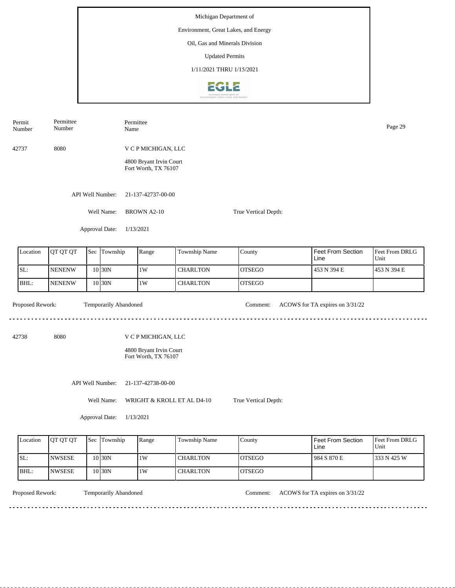Number Name Page 29 Number 42737 8080 V C P MICHIGAN, LLC 4800 Bryant Irvin Court Fort Worth, TX 76107 API Well Number: 21-137-42737-00-00 Well Name: BROWN A2-10 True Vertical Depth: Approval Date: 1/13/2021 Feet From Section Location | QT QT QT | Sec | Township | Range | Township Name Sec Township County Feet From DRLG Unit Line SL: NENENW 1W CHARLTON OTSEGO 453 N 394 E 453 N 394 E 10 30N BHL: NENENW **CHARLTON** OTSEGO 10 30N 1W Proposed Rework: Temporarily Abandoned Comment: ACOWS for TA expires on  $3/31/22$ Temporarily Abandoned . . . . . . . . . . . . . . . . . . . د د د د د د 42738 8080 V C P MICHIGAN, LLC 4800 Bryant Irvin Court Fort Worth, TX 76107 API Well Number: 21-137-42738-00-00 Well Name: WRIGHT & KROLL ET AL D4-10 True Vertical Depth: Approval Date: 1/13/2021

| Location | <b>OT OT OT</b> | <b>Sec Township</b> | Range | Township Name | County         | Feet From Section<br>Line | <b>Feet From DRLG</b><br>Unit |
|----------|-----------------|---------------------|-------|---------------|----------------|---------------------------|-------------------------------|
| ISL:     | <b>NWSESE</b>   | 10 <sub>30</sub> N  | 1W    | l CHARLTON    | IOTSEGO        | 1984 S 870 E              | 1333 N 425 W                  |
| IBHL:    | <b>NWSESE</b>   | $10$ 30N            | 1W    | l CHARLTON    | <b>IOTSEGO</b> |                           |                               |

. . . . . . . . . . . . . . . .

Permit

Permittee

Permittee

Temporarily Abandoned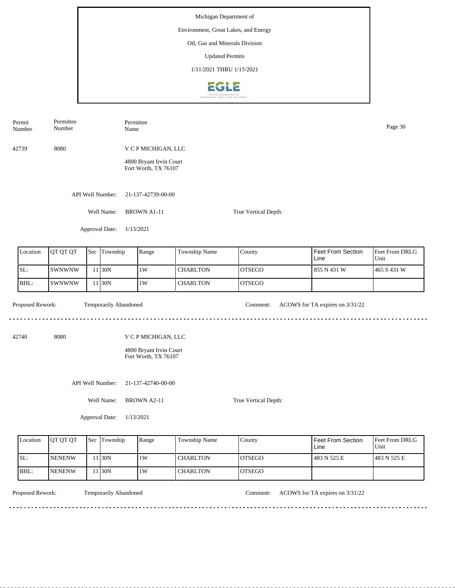| Number           | Number         |                       | Name                                            |                                                                        |                 |                      |                                 | Page 30                |  |  |  |
|------------------|----------------|-----------------------|-------------------------------------------------|------------------------------------------------------------------------|-----------------|----------------------|---------------------------------|------------------------|--|--|--|
| 42739            | 8080           |                       |                                                 | V C P MICHIGAN, LLC<br>4800 Bryant Irvin Court<br>Fort Worth, TX 76107 |                 |                      |                                 |                        |  |  |  |
|                  |                | API Well Number:      | 21-137-42739-00-00                              |                                                                        |                 |                      |                                 |                        |  |  |  |
|                  |                | Well Name:            | <b>BROWN A1-11</b>                              |                                                                        |                 | True Vertical Depth: |                                 |                        |  |  |  |
|                  |                | Approval Date:        | 1/13/2021                                       |                                                                        |                 |                      |                                 |                        |  |  |  |
| Location         | QT QT QT       | Sec Township          | Range                                           |                                                                        | Township Name   | County               | Feet From Section<br>Line       | Feet From DRLG<br>Unit |  |  |  |
| SL:              | SWNWNW         | 11 30N                | $1\mathrm{W}$                                   |                                                                        | <b>CHARLTON</b> | <b>OTSEGO</b>        | 855 N 431 W                     | 465 S 431 W            |  |  |  |
| BHL:             | SWNWNW         | 11 30N                | 1W                                              |                                                                        | <b>CHARLTON</b> | <b>OTSEGO</b>        |                                 |                        |  |  |  |
| Proposed Rework: |                | Temporarily Abandoned |                                                 |                                                                        |                 | Comment:             | ACOWS for TA expires on 3/31/22 |                        |  |  |  |
| 42740            | 8080           |                       | V C P MICHIGAN, LLC                             |                                                                        |                 |                      |                                 |                        |  |  |  |
|                  |                |                       | 4800 Bryant Irvin Court<br>Fort Worth, TX 76107 |                                                                        |                 |                      |                                 |                        |  |  |  |
|                  |                | API Well Number:      | 21-137-42740-00-00                              |                                                                        |                 |                      |                                 |                        |  |  |  |
|                  |                | Well Name:            | <b>BROWN A2-11</b>                              |                                                                        |                 | True Vertical Depth: |                                 |                        |  |  |  |
|                  | Approval Date: | 1/13/2021             |                                                 |                                                                        |                 |                      |                                 |                        |  |  |  |

| Location | <b>IOT OT OT</b> | <b>Sec Township</b> | Range | Township Name | County         | Feet From Section<br>Line | <b>Feet From DRLG</b><br>Unit |
|----------|------------------|---------------------|-------|---------------|----------------|---------------------------|-------------------------------|
| SL:      | <b>NENENW</b>    | 130N                | 1W    | l CHARLTON    | IOTSEGO        | 483 N 525 E               | 1483 N 525 E                  |
| IBHL:    | <b>NENENW</b>    | 130N                | 1W    | l CHARLTON    | <b>IOTSEGO</b> |                           |                               |

Permit

Permittee

Permittee

Temporarily Abandoned

Proposed Rework: Temporarily Abandoned Comment: ACOWS for TA expires on  $3/31/22$ 

 $\frac{1}{2}$  =  $\frac{1}{2}$  =  $\frac{1}{2}$  =  $\frac{1}{2}$  =  $\frac{1}{2}$  =  $\frac{1}{2}$ 

 $\frac{1}{2}$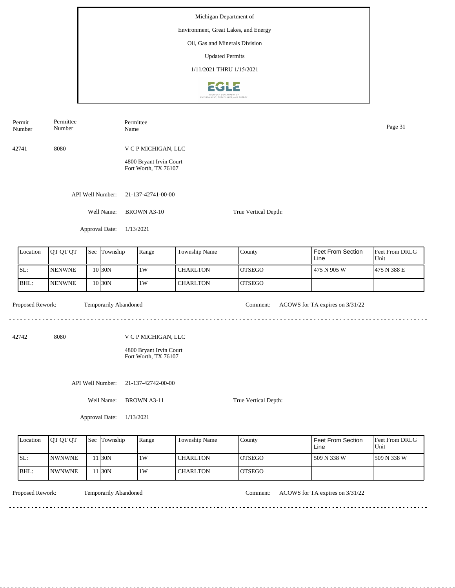|                              | Permit<br>Number | Permittee<br>Number |     |                       | Permittee<br>Name                                                      |                 |                      |                                 |                        |  |
|------------------------------|------------------|---------------------|-----|-----------------------|------------------------------------------------------------------------|-----------------|----------------------|---------------------------------|------------------------|--|
|                              | 42741            | 8080                |     |                       | V C P MICHIGAN, LLC<br>4800 Bryant Irvin Court<br>Fort Worth, TX 76107 |                 |                      |                                 |                        |  |
|                              |                  |                     |     | API Well Number:      | 21-137-42741-00-00                                                     |                 |                      |                                 |                        |  |
|                              |                  |                     |     | Well Name:            | <b>BROWN A3-10</b>                                                     |                 | True Vertical Depth: |                                 |                        |  |
| Approval Date:               |                  |                     |     |                       | 1/13/2021                                                              |                 |                      |                                 |                        |  |
|                              | Location         | QT QT QT            | Sec | Township              | Range                                                                  | Township Name   | County               | Feet From Section<br>Line       | Feet From DRLG<br>Unit |  |
|                              | SL:              | <b>NENWNE</b>       |     | $10$ 30N              | $1\mathrm{W}$                                                          | <b>CHARLTON</b> | <b>OTSEGO</b>        | 475 N 905 W                     | 475 N 388 E            |  |
|                              | BHL:             | <b>NENWNE</b>       |     | 10 30N                | 1W                                                                     | <b>CHARLTON</b> | <b>OTSEGO</b>        |                                 |                        |  |
|                              | Proposed Rework: |                     |     | Temporarily Abandoned |                                                                        |                 | Comment:             | ACOWS for TA expires on 3/31/22 |                        |  |
| 8080<br>42742                |                  |                     |     |                       | V C P MICHIGAN, LLC<br>4800 Bryant Irvin Court<br>Fort Worth, TX 76107 |                 |                      |                                 |                        |  |
| API Well Number:             |                  |                     |     |                       | 21-137-42742-00-00                                                     |                 |                      |                                 |                        |  |
| Well Name:<br>Approval Date: |                  |                     |     |                       | <b>BROWN A3-11</b><br>True Vertical Depth:<br>1/13/2021                |                 |                      |                                 |                        |  |

| Location | <b>OT OT OT</b> | <b>Sec</b> | Township | Range | Township Name   | County         | Feet From Section<br>Line | <b>Feet From DRLG</b><br>Unit |
|----------|-----------------|------------|----------|-------|-----------------|----------------|---------------------------|-------------------------------|
| SL:      | <b>INWNWNE</b>  |            | 1 30N    | 1W    | l CHARLTON      | IOTSEGO        | 509 N 338 W               | 1509 N 338 W                  |
| BHL:     | <b>INWNWNE</b>  |            | 1 30N    | 1W    | <b>CHARLTON</b> | <b>IOTSEGO</b> |                           |                               |

<u>. . . . . . . .</u>

Temporarily Abandoned

Proposed Rework: Temporarily Abandoned Comment: ACOWS for TA expires on  $3/31/22$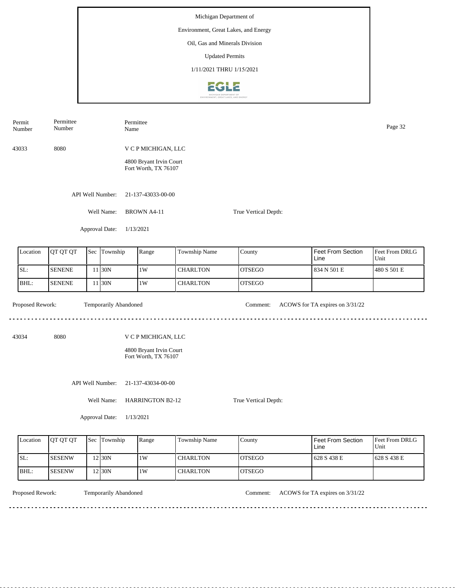| Permit<br>Number | Permittee<br>Permittee<br>Number<br>Name        |  |                       |                                                                        |                 |                      |                                 |                        |  |
|------------------|-------------------------------------------------|--|-----------------------|------------------------------------------------------------------------|-----------------|----------------------|---------------------------------|------------------------|--|
| 43033            | 8080                                            |  |                       | V C P MICHIGAN, LLC                                                    |                 |                      |                                 |                        |  |
|                  | 4800 Bryant Irvin Court<br>Fort Worth, TX 76107 |  |                       |                                                                        |                 |                      |                                 |                        |  |
|                  |                                                 |  | API Well Number:      | 21-137-43033-00-00                                                     |                 |                      |                                 |                        |  |
|                  |                                                 |  | Well Name:            | <b>BROWN A4-11</b>                                                     |                 | True Vertical Depth: |                                 |                        |  |
|                  |                                                 |  | Approval Date:        | 1/13/2021                                                              |                 |                      |                                 |                        |  |
| Location         | QT QT QT                                        |  | Sec Township          | Range                                                                  | Township Name   | County               | Feet From Section<br>Line       | Feet From DRLG<br>Unit |  |
| SL:              | <b>SENENE</b>                                   |  | 11 30N                | 1W                                                                     | <b>CHARLTON</b> | <b>OTSEGO</b>        | 834 N 501 E                     | 480 S 501 E            |  |
| BHL:             | <b>SENENE</b>                                   |  | 11 30N                | 1W                                                                     | <b>CHARLTON</b> | <b>OTSEGO</b>        |                                 |                        |  |
| Proposed Rework: |                                                 |  | Temporarily Abandoned |                                                                        |                 | Comment:             | ACOWS for TA expires on 3/31/22 |                        |  |
| 43034            | 8080                                            |  |                       | V C P MICHIGAN, LLC<br>4800 Bryant Irvin Court<br>Fort Worth, TX 76107 |                 |                      |                                 |                        |  |
|                  |                                                 |  | API Well Number:      | 21-137-43034-00-00                                                     |                 |                      |                                 |                        |  |
|                  |                                                 |  | Well Name:            | <b>HARRINGTON B2-12</b>                                                |                 | True Vertical Depth: |                                 |                        |  |
|                  |                                                 |  | Approval Date:        | 1/13/2021                                                              |                 |                      |                                 |                        |  |

| Location | <b>IOT OT OT</b> | <b>Sec Township</b> | Range | <b>Township Name</b> | County         | <b>Feet From Section</b><br>Line | <b>Feet From DRLG</b><br>Unit |
|----------|------------------|---------------------|-------|----------------------|----------------|----------------------------------|-------------------------------|
| SL:      | ISESENW          | $2$  30N            | 1W    | I CHARLTON           | <b>LOTSEGO</b> | 1628 S 438 E                     | $1628$ S 438 E                |
| BHL:     | ISESENW          | $2$ <sub>30</sub> N | 1W    | <b>CHARLTON</b>      | <b>OTSEGO</b>  |                                  |                               |

<u>. . . . . . . .</u>

Temporarily Abandoned

Proposed Rework: Temporarily Abandoned Comment: ACOWS for TA expires on  $3/31/22$ 

<u>. . . . . . . . . . . . . . . . . .</u>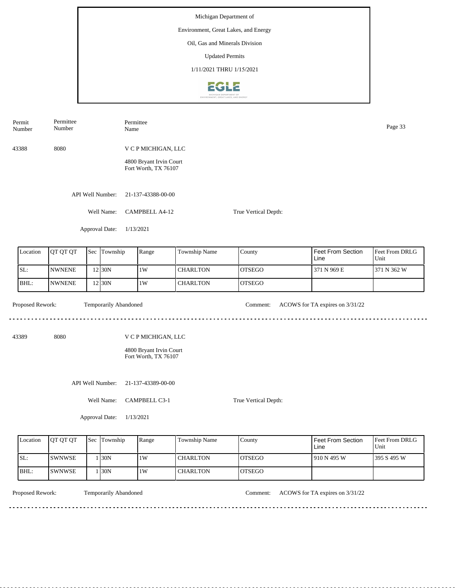| Permit<br>Number | Permittee<br>Number |     |                                       | Permittee<br>Name                               |  |                 |               |                                 |                        |  |  |
|------------------|---------------------|-----|---------------------------------------|-------------------------------------------------|--|-----------------|---------------|---------------------------------|------------------------|--|--|
| 43388            | 8080                |     |                                       | V C P MICHIGAN, LLC                             |  |                 |               |                                 |                        |  |  |
|                  |                     |     |                                       | 4800 Bryant Irvin Court<br>Fort Worth, TX 76107 |  |                 |               |                                 |                        |  |  |
|                  |                     |     | API Well Number:                      | 21-137-43388-00-00                              |  |                 |               |                                 |                        |  |  |
|                  |                     |     | Well Name:                            | CAMPBELL A4-12<br>True Vertical Depth:          |  |                 |               |                                 |                        |  |  |
|                  |                     |     | Approval Date:                        | 1/13/2021                                       |  |                 |               |                                 |                        |  |  |
| Location         | QT QT QT            | Sec | Township                              | Range                                           |  | Township Name   | County        | Feet From Section<br>Line       | Feet From DRLG<br>Unit |  |  |
| SL:              | <b>NWNENE</b>       |     | 12 30N                                | 1W                                              |  | <b>CHARLTON</b> | <b>OTSEGO</b> | 371 N 969 E                     | 371 N 362 W            |  |  |
| BHL:             | <b>NWNENE</b>       |     | 12 30N                                | 1W                                              |  | <b>CHARLTON</b> | <b>OTSEGO</b> |                                 |                        |  |  |
| Proposed Rework: |                     |     | Temporarily Abandoned                 |                                                 |  |                 | Comment:      | ACOWS for TA expires on 3/31/22 |                        |  |  |
| 43389            | 8080                |     |                                       | V C P MICHIGAN, LLC                             |  |                 |               |                                 |                        |  |  |
|                  |                     |     |                                       | 4800 Bryant Irvin Court<br>Fort Worth, TX 76107 |  |                 |               |                                 |                        |  |  |
|                  |                     |     | API Well Number:                      | 21-137-43389-00-00                              |  |                 |               |                                 |                        |  |  |
|                  | Well Name:          |     | CAMPBELL C3-1<br>True Vertical Depth: |                                                 |  |                 |               |                                 |                        |  |  |
|                  |                     |     | Approval Date:                        | 1/13/2021                                       |  |                 |               |                                 |                        |  |  |
|                  |                     |     |                                       |                                                 |  |                 |               |                                 |                        |  |  |

| Location | <b>OT OT OT</b> | Sec | Township | Range | <b>Township Name</b> | County         | l Feet From Section<br>Line | <b>Feet From DRLG</b><br>Unit |
|----------|-----------------|-----|----------|-------|----------------------|----------------|-----------------------------|-------------------------------|
| SL:      | <b>SWNWSE</b>   |     | 130N     | 1W    | <b>CHARLTON</b>      | <b>IOTSEGO</b> | 1910 N 495 W                | 1395 S 495 W                  |
| BHL:     | <b>SWNWSE</b>   |     | 130N     | 1W    | <b>CHARLTON</b>      | <b>IOTSEGO</b> |                             |                               |

<u>. . . . . . . . . .</u>

Temporarily Abandoned

Proposed Rework: Temporarily Abandoned Comment: ACOWS for TA expires on 3/31/22

. . . . . . . . . . . . . . . . . . .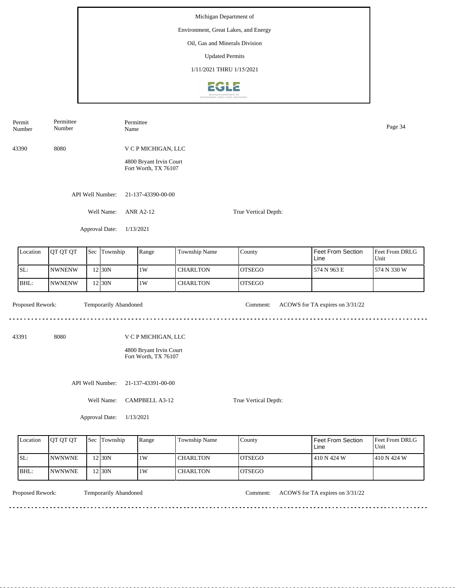Number Name Page 34 Number 43390 8080 V C P MICHIGAN, LLC 4800 Bryant Irvin Court Fort Worth, TX 76107 API Well Number: 21-137-43390-00-00 Well Name: ANR A2-12 True Vertical Depth: Approval Date: 1/13/2021 Feet From Section Location | QT QT QT | Sec | Township | Range | Township Name Sec Township County Feet From DRLG Unit Line SL: NWNENW 1W CHARLTON OTSEGO 574 N 963 E 574 N 330 W 12 30N BHL: 30N 1W NWNENW 12 **CHARLTON** OTSEGO Proposed Rework: Temporarily Abandoned Comment: ACOWS for TA expires on  $3/31/22$ Temporarily Abandoned <u>. . . . . . .</u> <u>. . . . . . . . . . . . . . . . . . .</u> 43391 8080 V C P MICHIGAN, LLC 4800 Bryant Irvin Court Fort Worth, TX 76107 API Well Number: 21-137-43391-00-00 Well Name: CAMPBELL A3-12 True Vertical Depth: Approval Date: 1/13/2021

| Location | <b>IOT OT OT</b> | <b>Sec Township</b> | Range | <b>Township Name</b> | County         | <b>Feet From Section</b><br>Line | <b>Feet From DRLG</b><br>Unit |
|----------|------------------|---------------------|-------|----------------------|----------------|----------------------------------|-------------------------------|
| ISL:     | <b>INWNWNE</b>   | !2 30N              | 1W    | <b>CHARLTON</b>      | <b>LOTSEGO</b> | 410 N 424 W                      | 1410 N 424 W                  |
| BHL:     | <b>INWNWNE</b>   | 12 30N              | 1W    | <b>CHARLTON</b>      | <b>OTSEGO</b>  |                                  |                               |

<u>. . . . . . . .</u>

Permit

Permittee

Permittee

Temporarily Abandoned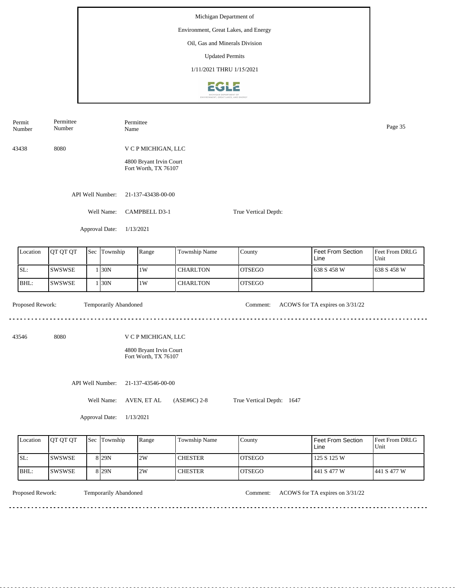| Permit<br>Number | Permittee<br>Number | Name                         | Permittee                                       |                 |                           |                                 | Page 35                |  |  |  |  |
|------------------|---------------------|------------------------------|-------------------------------------------------|-----------------|---------------------------|---------------------------------|------------------------|--|--|--|--|
| 43438            | 8080                |                              | V C P MICHIGAN, LLC                             |                 |                           |                                 |                        |  |  |  |  |
|                  |                     |                              | 4800 Bryant Irvin Court<br>Fort Worth, TX 76107 |                 |                           |                                 |                        |  |  |  |  |
|                  |                     | API Well Number:             | 21-137-43438-00-00                              |                 |                           |                                 |                        |  |  |  |  |
|                  |                     | Well Name:                   | <b>CAMPBELL D3-1</b><br>True Vertical Depth:    |                 |                           |                                 |                        |  |  |  |  |
|                  |                     | Approval Date:               | 1/13/2021                                       |                 |                           |                                 |                        |  |  |  |  |
| Location         | QT QT QT            | Sec Township                 | Range                                           | Township Name   | County                    | Feet From Section<br>Line       | Feet From DRLG<br>Unit |  |  |  |  |
| SL:              | SWSWSE              | 1 30N                        | $1\mathrm{W}$                                   | <b>CHARLTON</b> | <b>OTSEGO</b>             | 638 S 458 W                     | 638 S 458 W            |  |  |  |  |
| BHL:             | <b>SWSWSE</b>       | 1 30N                        | 1W                                              | <b>CHARLTON</b> | <b>OTSEGO</b>             |                                 |                        |  |  |  |  |
| Proposed Rework: |                     | <b>Temporarily Abandoned</b> |                                                 |                 | Comment:                  | ACOWS for TA expires on 3/31/22 |                        |  |  |  |  |
| 43546            | 8080                |                              | V C P MICHIGAN, LLC                             |                 |                           |                                 |                        |  |  |  |  |
|                  |                     |                              | 4800 Bryant Irvin Court<br>Fort Worth, TX 76107 |                 |                           |                                 |                        |  |  |  |  |
|                  |                     | API Well Number:             | 21-137-43546-00-00                              |                 |                           |                                 |                        |  |  |  |  |
|                  |                     | Well Name:                   | AVEN, ET AL                                     | (ASE#6C) 2-8    | True Vertical Depth: 1647 |                                 |                        |  |  |  |  |
|                  |                     | Approval Date:               | 1/13/2021                                       |                 |                           |                                 |                        |  |  |  |  |
| Location         | QT QT QT            | Sec Township                 | Range                                           | Township Name   | County                    | Feet From Section<br>Line       | Feet From DRLG<br>Unit |  |  |  |  |
| SL:              | <b>SWSWSE</b>       | 8 29N                        | 2W                                              | <b>CHESTER</b>  | <b>OTSEGO</b>             | 125 S 125 W                     |                        |  |  |  |  |

SWSWSE

<u>. . . . . . . .</u>

BHL:

Temporarily Abandoned

Proposed Rework: Temporarily Abandoned Comment: ACOWS for TA expires on  $3/31/22$ 

441 S 477 W

441 S 477 W

<u>. . . . . . . . . . . . . . . . .</u>

8 29N 2W

OTSEGO

**CHESTER**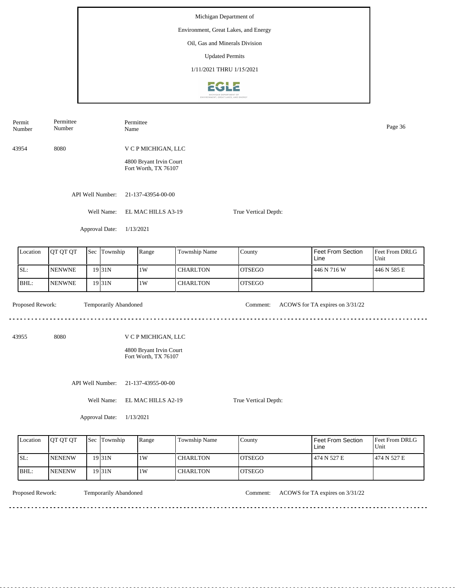Permit Permittee Permittee Number Name Page 36 Number 43954 8080 V C P MICHIGAN, LLC 4800 Bryant Irvin Court Fort Worth, TX 76107 API Well Number: 21-137-43954-00-00 Well Name: EL MAC HILLS A3-19 True Vertical Depth: Approval Date: 1/13/2021 Feet From Section Location | QT QT QT | Sec | Township | Range | Township Name Sec Township County Feet From DRLG Unit Line SL: NENWNE 1W CHARLTON OTSEGO 446 N 716 W 446 N 585 E 19 31N BHL: NENWNE **CHARLTON** OTSEGO 19 31N 1W Proposed Rework: Temporarily Abandoned Comment: ACOWS for TA expires on  $3/31/22$ Temporarily Abandoned <u>. . . . . . .</u> . . . . . . . . . . . . . . . . . . . 43955 8080 V C P MICHIGAN, LLC 4800 Bryant Irvin Court Fort Worth, TX 76107 API Well Number: 21-137-43955-00-00 Well Name: EL MAC HILLS A2-19 True Vertical Depth: Approval Date: 1/13/2021

| Location | <b>OT OT OT</b> | Sec Township | Range | Township Name   | County         | Feet From Section<br>Line | <b>Feet From DRLG</b><br>Unit |
|----------|-----------------|--------------|-------|-----------------|----------------|---------------------------|-------------------------------|
| ISL:     | <b>INENENW</b>  | 19 31 N      | 1W    | <b>CHARLTON</b> | <b>IOTSEGO</b> | 474 N 527 E               | 1474 N 527 E                  |
| IBHL:    | <b>INENENW</b>  | 19 31 N      | 1W    | <b>CHARLTON</b> | IOTSEGO        |                           |                               |

Temporarily Abandoned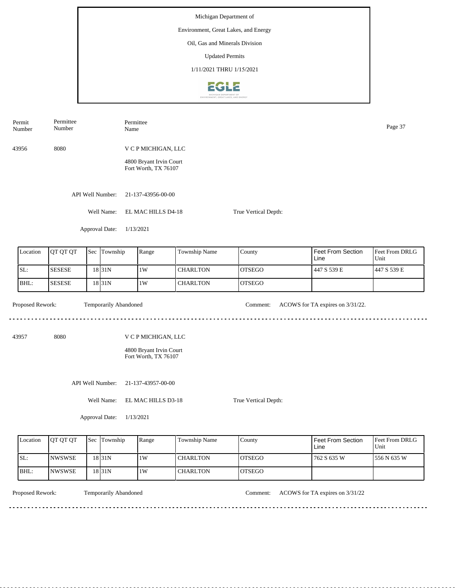Permittee Number Name Page 37 Number 43956 8080 V C P MICHIGAN, LLC 4800 Bryant Irvin Court Fort Worth, TX 76107 API Well Number: 21-137-43956-00-00 Well Name: EL MAC HILLS D4-18 True Vertical Depth: Approval Date: 1/13/2021 Feet From Section Location | QT QT QT | Sec | Township | Range | Township Name Sec Township County Feet From DRLG Unit Line SL: SESESE 1W CHARLTON OTSEGO 447 S 539 E 447 S 539 E 18 31N BHL: SESESE **CHARLTON** OTSEGO 18 31N 1W Proposed Rework: Temporarily Abandoned Comment: ACOWS for TA expires on 3/31/22. Temporarily Abandoned <u>. . . . . . .</u> . . . . . . . . . . . . . . . . . . . . 43957 8080 V C P MICHIGAN, LLC 4800 Bryant Irvin Court Fort Worth, TX 76107 API Well Number: 21-137-43957-00-00 Well Name: EL MAC HILLS D3-18 True Vertical Depth: Approval Date: 1/13/2021

| Location | <b>OT OT OT</b> | Sec Township | Range | <b>Township Name</b> | County         | i Feet From Section<br>Line | <b>Feet From DRLG</b><br>Unit |
|----------|-----------------|--------------|-------|----------------------|----------------|-----------------------------|-------------------------------|
| SL:      | <b>INWSWSE</b>  | 18 31 N      | 1W    | <b>CHARLTON</b>      | <b>LOTSEGO</b> | 762 S 635 W                 | 1556 N 635 W                  |
| IBHL:    | <b>INWSWSE</b>  | 18 31 N      | 1W    | <b>CHARLTON</b>      | IOTSEGO        |                             |                               |

<u>. . . . . . . .</u>

Permit

Permittee

Temporarily Abandoned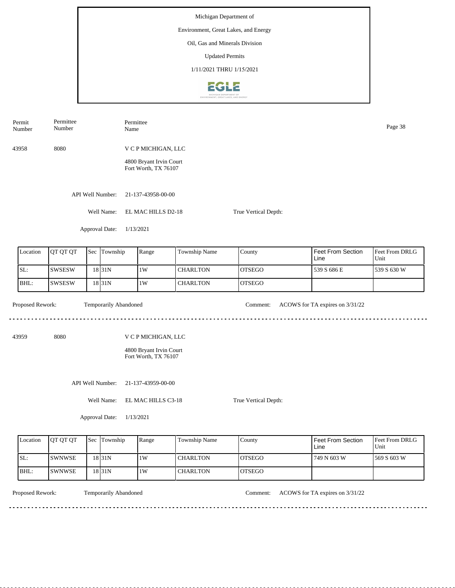| Permittee<br>Permit<br>Number<br>Number |                  |               |     |                       |  | Permittee<br>Page 38<br>Name                    |                 |                      |                                 |                        |  |
|-----------------------------------------|------------------|---------------|-----|-----------------------|--|-------------------------------------------------|-----------------|----------------------|---------------------------------|------------------------|--|
|                                         | 43958            | 8080          |     |                       |  | V C P MICHIGAN, LLC                             |                 |                      |                                 |                        |  |
|                                         |                  |               |     |                       |  | 4800 Bryant Irvin Court<br>Fort Worth, TX 76107 |                 |                      |                                 |                        |  |
|                                         |                  |               |     | API Well Number:      |  | 21-137-43958-00-00                              |                 |                      |                                 |                        |  |
|                                         |                  |               |     | Well Name:            |  | EL MAC HILLS D2-18                              |                 | True Vertical Depth: |                                 |                        |  |
|                                         |                  |               |     | Approval Date:        |  | 1/13/2021                                       |                 |                      |                                 |                        |  |
|                                         | Location         | QT QT QT      | Sec | Township              |  | Range                                           | Township Name   | County               | Feet From Section<br>Line       | Feet From DRLG<br>Unit |  |
|                                         | SL:              | <b>SWSESW</b> |     | 18 31N                |  | 1W                                              | <b>CHARLTON</b> | <b>OTSEGO</b>        | 539 S 686 E                     | 539 S 630 W            |  |
|                                         | BHL:             | SWSESW        |     | 18 31N                |  | 1W                                              | <b>CHARLTON</b> | <b>OTSEGO</b>        |                                 |                        |  |
|                                         | Proposed Rework: |               |     | Temporarily Abandoned |  |                                                 |                 | Comment:             | ACOWS for TA expires on 3/31/22 |                        |  |
|                                         | 43959            | 8080          |     |                       |  | V C P MICHIGAN, LLC                             |                 |                      |                                 |                        |  |
|                                         |                  |               |     |                       |  | 4800 Bryant Irvin Court<br>Fort Worth, TX 76107 |                 |                      |                                 |                        |  |
|                                         |                  |               |     | API Well Number:      |  | 21-137-43959-00-00                              |                 |                      |                                 |                        |  |
|                                         |                  |               |     | Well Name:            |  | EL MAC HILLS C3-18                              |                 | True Vertical Depth: |                                 |                        |  |
| Approval Date:                          |                  |               |     | 1/13/2021             |  |                                                 |                 |                      |                                 |                        |  |
|                                         |                  |               |     |                       |  |                                                 |                 |                      |                                 |                        |  |

| Location | <b>OT OT OT</b> | <b>Sec</b> | Township           | Range | Township Name | County         | <b>Feet From Section</b><br>Line | <b>Feet From DRLG</b><br>Unit |
|----------|-----------------|------------|--------------------|-------|---------------|----------------|----------------------------------|-------------------------------|
| SL:      | <b>SWNWSE</b>   |            | 18 <sub>31</sub> N | 1W    | l CHARLTON    | IOTSEGO        | 749 N 603 W                      | 1569 S 603 W                  |
| BHL:     | <b>SWNWSE</b>   |            | 18 <sub>31</sub> N | 1W    | I CHARLTON    | <b>IOTSEGO</b> |                                  |                               |

<u>. . . . . . . . . . .</u>

Temporarily Abandoned

Proposed Rework: Temporarily Abandoned Comment: ACOWS for TA expires on  $3/31/22$ 

 $\sim$   $\sim$   $\sim$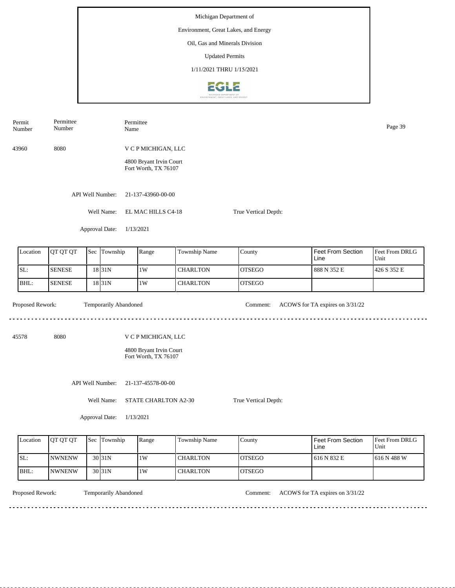Permit Permittee Permittee Number Name Page 39 Number 43960 8080 V C P MICHIGAN, LLC 4800 Bryant Irvin Court Fort Worth, TX 76107 API Well Number: 21-137-43960-00-00 Well Name: EL MAC HILLS C4-18 True Vertical Depth: Approval Date: 1/13/2021 Feet From Section Location | QT QT QT | Sec | Township | Range | Township Name Sec Township County Feet From DRLG Unit Line SL: SENESE 1W CHARLTON OTSEGO 888 N 352 E 426 S 352 E 18 31N BHL: SENESE **CHARLTON** OTSEGO 18 31N 1W Proposed Rework: Temporarily Abandoned Comment: ACOWS for TA expires on  $3/31/22$ Temporarily Abandoned <u>. . . . . . .</u> <u>. . . . . . . . . . . . . . . . . . .</u> 45578 8080 V C P MICHIGAN, LLC 4800 Bryant Irvin Court Fort Worth, TX 76107 API Well Number: 21-137-45578-00-00 Well Name: STATE CHARLTON A2-30 True Vertical Depth: Approval Date: 1/13/2021

| Location | <b>OT OT OT</b> | Sec Township      | Range | Township Name | County         | <b>Feet From Section</b><br>Line | <b>Feet From DRLG</b><br>Unit |
|----------|-----------------|-------------------|-------|---------------|----------------|----------------------------------|-------------------------------|
| SL:      | <b>NWNENW</b>   | 30 <sub>31N</sub> | 1W    | l CHARLTON    | IOTSEGO        | 616 N 832 E                      | 1616 N 488 W                  |
| IBHL:    | <b>NWNENW</b>   | 30 <sub>31N</sub> | 1W    | I CHARLTON    | <b>IOTSEGO</b> |                                  |                               |

<u>. . . . . . . .</u>

Temporarily Abandoned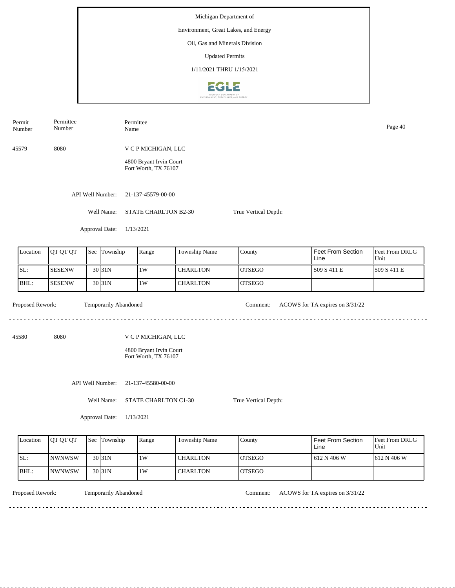Number Name Page 40 Number 45579 8080 V C P MICHIGAN, LLC 4800 Bryant Irvin Court Fort Worth, TX 76107 API Well Number: 21-137-45579-00-00 Well Name: STATE CHARLTON B2-30 True Vertical Depth: Approval Date: 1/13/2021 Location | QT QT QT | Sec | Township | Range | Township Name Sec Township Range County Feet From Section Line Unit SL: SESENW 30 31N 1W CHARLTON OTSEGO 509 S 411 E 509 S 411 E BHL: SESENW 30 31N 1W CHARLTON OTSEGO Proposed Rework: Temporarily Abandoned Comment: ACOWS for TA expires on  $3/31/22$ Temporarily Abandoned <u>. . . . . . . . .</u> 45580 8080 V C P MICHIGAN, LLC 4800 Bryant Irvin Court Fort Worth, TX 76107 API Well Number: 21-137-45580-00-00 Well Name: STATE CHARLTON C1-30 True Vertical Depth:

| Location | <b>OT OT OT</b> | <b>Sec Township</b> | Range | Township Name   | County         | <b>Feet From Section</b><br>Line | <b>Feet From DRLG</b><br>Unit |
|----------|-----------------|---------------------|-------|-----------------|----------------|----------------------------------|-------------------------------|
| SL:      | <b>INWNWSW</b>  | 30 <sub>131N</sub>  | 1W    | <b>CHARLTON</b> | <b>IOTSEGO</b> | 1612 N 406 W                     | 1612 N 406 W                  |
| BHL:     | <b>INWNWSW</b>  | 30 <sub>131N</sub>  | 1W    | <b>CHARLTON</b> | <b>OTSEGO</b>  |                                  |                               |

Permit

Permittee

Permittee

Temporarily Abandoned

Proposed Rework: Temporarily Abandoned Comment: ACOWS for TA expires on  $3/31/22$ 

<u>. . . . . . . . . . .</u>

| Location | <b>IOT OT OT</b> | <b>Sec</b> | Township            | Range | Township Name   | County         | Feet From Section<br>Line | <b>Feet From DRLG</b><br>Unit |
|----------|------------------|------------|---------------------|-------|-----------------|----------------|---------------------------|-------------------------------|
| SL:      | <b>SESENW</b>    |            | 30 <sub>131</sub> N | 1W    | <b>CHARLTON</b> | <b>IOTSEGO</b> | 509 S 411 E               | 1509 S 411 E                  |
| BHL:     | <b>ISESENW</b>   |            | 30 <sub>131</sub> N | 1W    | <b>CHARLTON</b> | <b>IOTSEGO</b> |                           |                               |
|          |                  |            |                     |       |                 |                |                           |                               |

Approval Date: 1/13/2021

<u>. . . . . . . .</u>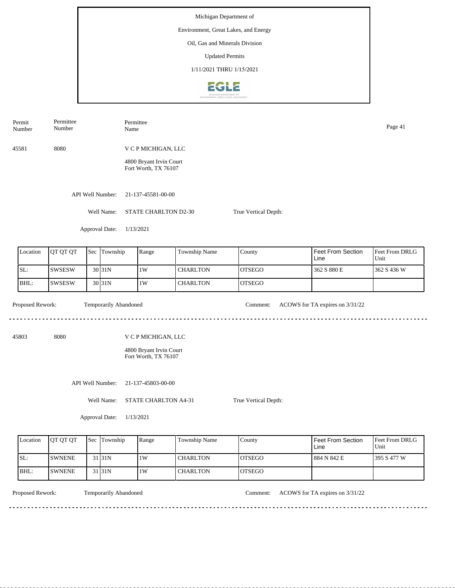Permit Permittee Permittee Number Name Page 41 Number 45581 8080 V C P MICHIGAN, LLC 4800 Bryant Irvin Court Fort Worth, TX 76107 API Well Number: 21-137-45581-00-00 Well Name: STATE CHARLTON D2-30 True Vertical Depth: Approval Date: 1/13/2021 Feet From Section Location | QT QT QT | Sec | Township | Range | Township Name Sec Township County Feet From DRLG Unit Line SL: SWSESW 1W CHARLTON OTSEGO 362 S 880 E 362 S 436 W 30 31N BHL: SWSESW **CHARLTON** OTSEGO 30 31N 1W Proposed Rework: Temporarily Abandoned Comment: ACOWS for TA expires on  $3/31/22$ Temporarily Abandoned <u>. . . . . . .</u> <u>. . . . . . . . . . . . . . . . . . .</u> 45803 8080 V C P MICHIGAN, LLC 4800 Bryant Irvin Court Fort Worth, TX 76107 API Well Number: 21-137-45803-00-00 Well Name: STATE CHARLTON A4-31 True Vertical Depth: Approval Date: 1/13/2021

| Location | <b>IOT OT OT</b> | <b>Sec Township</b> | Range | Township Name   | County         | Feet From Section<br>Line | <b>Feet From DRLG</b><br>Unit |
|----------|------------------|---------------------|-------|-----------------|----------------|---------------------------|-------------------------------|
| SL:      | <b>ISWNENE</b>   | 31 <sub>31</sub> N  | 1W    | <b>CHARLTON</b> | IOTSEGO        | 884 N 842 E               | 1395 S 477 W                  |
| BHL:     | <b>ISWNENE</b>   | 31 31 N             | 1W    | <b>CHARLTON</b> | <b>IOTSEGO</b> |                           |                               |

<u>. . . . . . . .</u>

Temporarily Abandoned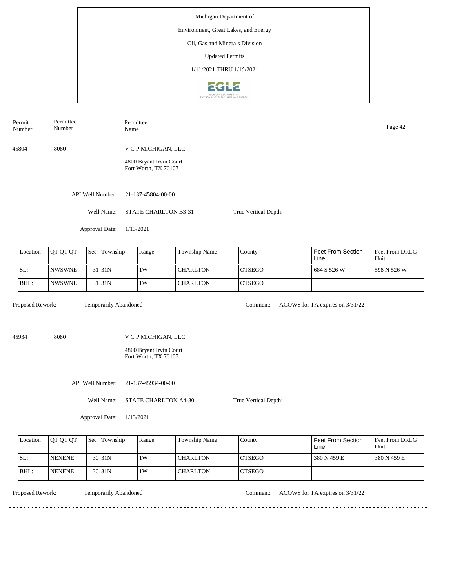Permit Permittee Permittee Number Name Page 42 Number 45804 8080 V C P MICHIGAN, LLC 4800 Bryant Irvin Court Fort Worth, TX 76107 API Well Number: 21-137-45804-00-00 Well Name: STATE CHARLTON B3-31 True Vertical Depth: Approval Date: 1/13/2021 Feet From Section Location | QT QT QT | Sec | Township | Range | Township Name Sec Township County Feet From DRLG Line Unit SL: NWSWNE 1W CHARLTON OTSEGO 684 S 526 W 598 N 526 W 31 31N BHL: NWSWNE **CHARLTON** OTSEGO 31 31N 1W Proposed Rework: Temporarily Abandoned Comment: ACOWS for TA expires on  $3/31/22$ Temporarily Abandoned <u>. . . . . . .</u> . . . . . . . . . . . . . . . . . . . . 45934 8080 V C P MICHIGAN, LLC 4800 Bryant Irvin Court Fort Worth, TX 76107 API Well Number: 21-137-45934-00-00 Well Name: STATE CHARLTON A4-30 True Vertical Depth: Approval Date: 1/13/2021

| Location | <b>IOT OT OT</b> | <b>Sec</b> | Township           | Range | <b>Township Name</b> | County         | <b>Feet From Section</b><br>Line | <b>Feet From DRLG</b><br>Unit |
|----------|------------------|------------|--------------------|-------|----------------------|----------------|----------------------------------|-------------------------------|
| SL:      | <b>NENENE</b>    |            | $30\overline{31N}$ | 1W    | CHARLTON             | <b>IOTSEGO</b> | 380 N 459 E                      | 1380 N 459 E                  |
| IBHL:    | <b>NENENE</b>    |            | 30 31N             | 1W    | CHARLTON             | <b>IOTSEGO</b> |                                  |                               |

<u>. . . . . . . .</u>

Temporarily Abandoned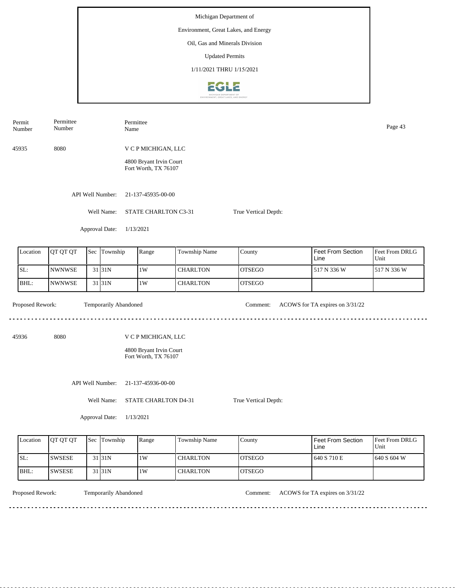Number Page 43<br>Name Page 43 Number 45935 8080 V C P MICHIGAN, LLC 4800 Bryant Irvin Court Fort Worth, TX 76107 API Well Number: 21-137-45935-00-00 Well Name: STATE CHARLTON C3-31 True Vertical Depth: Approval Date: 1/13/2021 Feet From Section Location | QT QT QT | Sec | Township | Range | Township Name Sec Township County Feet From DRLG Unit Line SL: NWNWSE 1W CHARLTON OTSEGO 517 N 336 W 517 N 336 W 31 31N BHL: NWNWSE **CHARLTON** OTSEGO 31 31N 1W Proposed Rework: Temporarily Abandoned Comment: ACOWS for TA expires on  $3/31/22$ Temporarily Abandoned <u>. . . . . . .</u> 45936 8080 V C P MICHIGAN, LLC 4800 Bryant Irvin Court Fort Worth, TX 76107 API Well Number: 21-137-45936-00-00 Well Name: STATE CHARLTON D4-31 True Vertical Depth: Approval Date: 1/13/2021

| Location | <b>OT OT OT</b> | <b>Sec Township</b> | Range | <b>Township Name</b> | County         | Feet From Section<br>Line | Feet From DRLG<br>Unit |
|----------|-----------------|---------------------|-------|----------------------|----------------|---------------------------|------------------------|
| SL:      | ISWSESE         | 31 <sub>31</sub> N  | 1W    | <b>CHARLTON</b>      | <b>IOTSEGO</b> | 640 S 710 E               | 1640 S 604 W           |
| BHL:     | ISWSESE         | 31 <sub>31</sub> N  | 1W    | <b>CHARLTON</b>      | <b>IOTSEGO</b> |                           |                        |

Permit

Permittee

Permittee

Temporarily Abandoned

Proposed Rework: Temporarily Abandoned Comment: ACOWS for TA expires on  $3/31/22$ 

<u>. . . . . . . .</u>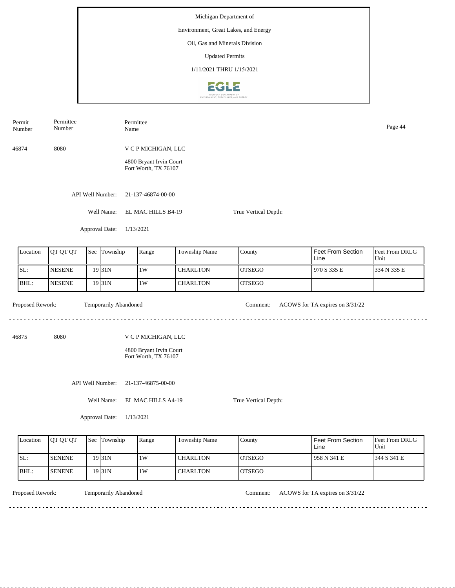| Permit<br>Number | Permittee<br>Number |        |                       | Permittee<br>Page 44<br>Name                    |                                            |                     |                      |  |                                 |                        |
|------------------|---------------------|--------|-----------------------|-------------------------------------------------|--------------------------------------------|---------------------|----------------------|--|---------------------------------|------------------------|
| 46874            | 8080                |        |                       | V C P MICHIGAN, LLC                             |                                            |                     |                      |  |                                 |                        |
|                  |                     |        |                       | 4800 Bryant Irvin Court<br>Fort Worth, TX 76107 |                                            |                     |                      |  |                                 |                        |
|                  |                     |        | API Well Number:      | 21-137-46874-00-00                              |                                            |                     |                      |  |                                 |                        |
|                  |                     |        | Well Name:            |                                                 | EL MAC HILLS B4-19<br>True Vertical Depth: |                     |                      |  |                                 |                        |
|                  |                     |        | Approval Date:        | 1/13/2021                                       |                                            |                     |                      |  |                                 |                        |
| Location         | QT QT QT            |        | Sec Township          | Range                                           |                                            | Township Name       | County               |  | Feet From Section<br>Line       | Feet From DRLG<br>Unit |
| SL:              | <b>NESENE</b>       |        | 19 31N                | $1\mathrm{W}$                                   |                                            | <b>CHARLTON</b>     | <b>OTSEGO</b>        |  | 970 S 335 E                     | 334 N 335 E            |
| BHL:             | <b>NESENE</b>       |        | 19 31N                | 1W                                              |                                            | <b>CHARLTON</b>     | <b>OTSEGO</b>        |  |                                 |                        |
| Proposed Rework: |                     |        | Temporarily Abandoned |                                                 |                                            |                     | Comment:             |  | ACOWS for TA expires on 3/31/22 |                        |
| 46875            | 8080                |        |                       | V C P MICHIGAN, LLC                             |                                            |                     |                      |  |                                 |                        |
|                  |                     |        |                       | 4800 Bryant Irvin Court<br>Fort Worth, TX 76107 |                                            |                     |                      |  |                                 |                        |
|                  |                     |        | API Well Number:      | 21-137-46875-00-00                              |                                            |                     |                      |  |                                 |                        |
|                  |                     |        | Well Name:            | EL MAC HILLS A4-19                              |                                            |                     | True Vertical Depth: |  |                                 |                        |
|                  |                     |        | Approval Date:        | 1/13/2021                                       |                                            |                     |                      |  |                                 |                        |
|                  |                     | Tarihi | h                     |                                                 |                                            | $\overline{1}$<br>. | <u>ь т</u>           |  |                                 |                        |

| Location | <b>OT OT OT</b> | Sec Township      | Range | Township Name   | County         | Feet From Section<br>Line | <b>Feet From DRLG</b><br>Unit |
|----------|-----------------|-------------------|-------|-----------------|----------------|---------------------------|-------------------------------|
| ISL:     | <b>ISENENE</b>  | 19 <sub>31N</sub> | 1W    | <b>CHARLTON</b> | <b>IOTSEGO</b> | 1958 N 341 E              | 1344 S 341 E                  |
| IBHL:    | <b>ISENENE</b>  | 19 <sub>31N</sub> | 1W    | <b>CHARLTON</b> | <b>IOTSEGO</b> |                           |                               |

<u>. . . . . . . . .</u>

Temporarily Abandoned

Proposed Rework: Temporarily Abandoned Comment: ACOWS for TA expires on 3/31/22

<u>. . . . . . . . . . . . . . . . . .</u>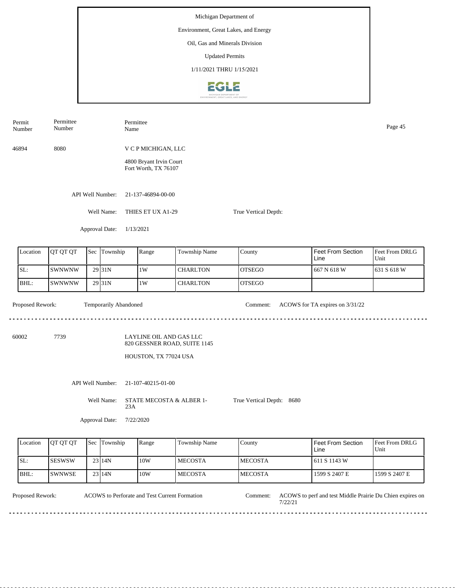| Permit<br>Number | Permittee<br>Number |     | Name                  | Permittee                                               | Page 45              |                           |                                  |                        |
|------------------|---------------------|-----|-----------------------|---------------------------------------------------------|----------------------|---------------------------|----------------------------------|------------------------|
| 46894            | 8080                |     |                       | V C P MICHIGAN, LLC                                     |                      |                           |                                  |                        |
|                  |                     |     |                       | 4800 Bryant Irvin Court<br>Fort Worth, TX 76107         |                      |                           |                                  |                        |
|                  |                     |     | API Well Number:      | 21-137-46894-00-00                                      |                      |                           |                                  |                        |
|                  |                     |     | Well Name:            | THIES ET UX A1-29                                       |                      | True Vertical Depth:      |                                  |                        |
|                  |                     |     | Approval Date:        | 1/13/2021                                               |                      |                           |                                  |                        |
| Location         | QT QT QT            | Sec | Township              | Range                                                   | Township Name        | County                    | <b>Feet From Section</b><br>Line | Feet From DRLG<br>Unit |
| SL:              | <b>SWNWNW</b>       |     | 29 31N                | 1W                                                      | <b>CHARLTON</b>      | <b>OTSEGO</b>             | 667 N 618 W                      | 631 S 618 W            |
| BHL:             | <b>SWNWNW</b>       |     | 29 31N                | 1W                                                      | <b>CHARLTON</b>      | <b>OTSEGO</b>             |                                  |                        |
| Proposed Rework: |                     |     | Temporarily Abandoned |                                                         |                      | Comment:                  | ACOWS for TA expires on 3/31/22  |                        |
| 60002            | 7739                |     |                       | LAYLINE OIL AND GAS LLC<br>820 GESSNER ROAD, SUITE 1145 |                      |                           |                                  |                        |
|                  |                     |     |                       | HOUSTON, TX 77024 USA                                   |                      |                           |                                  |                        |
|                  |                     |     | API Well Number:      | 21-107-40215-01-00                                      |                      |                           |                                  |                        |
|                  |                     |     | Well Name:<br>23A     | STATE MECOSTA & ALBER 1-                                |                      | True Vertical Depth: 8680 |                                  |                        |
|                  |                     |     | Approval Date:        | 7/22/2020                                               |                      |                           |                                  |                        |
| Location         | OT OT OT            |     | Sec Township          | Range                                                   | <b>Township Name</b> | County                    | <b>Feet From Section</b>         | Feet From DRLG         |

| Location | <b>OT OT OT</b> | 'Sec | Township | Range | <b>Township Name</b> | County          | <b>I</b> Feet From Section<br>Line | Feet From DRLG<br>Unit |
|----------|-----------------|------|----------|-------|----------------------|-----------------|------------------------------------|------------------------|
| SL:      | <b>ISESWSW</b>  |      | 23114N   | 10W   | <b>IMECOSTA</b>      | <b>IMECOSTA</b> | 1611 S 1143 W                      |                        |
| IBHL:    | <b>SWNWSE</b>   |      | 23114N   | 10W   | <b>IMECOSTA</b>      | <b>IMECOSTA</b> | 1599 S 2407 E                      | 1599 S 2407 E          |

 $- - - - - -$ 

ACOWS to Perforate and Test Current Formation

Proposed Rework: ACOWS to Perforate and Test Current Formation Comment: ACOWS to perf and test Middle Prairie Du Chien expires on 7/22/21 Comment:

<u>. . . . . . . . .</u>

 $\sim$   $\sim$   $\sim$